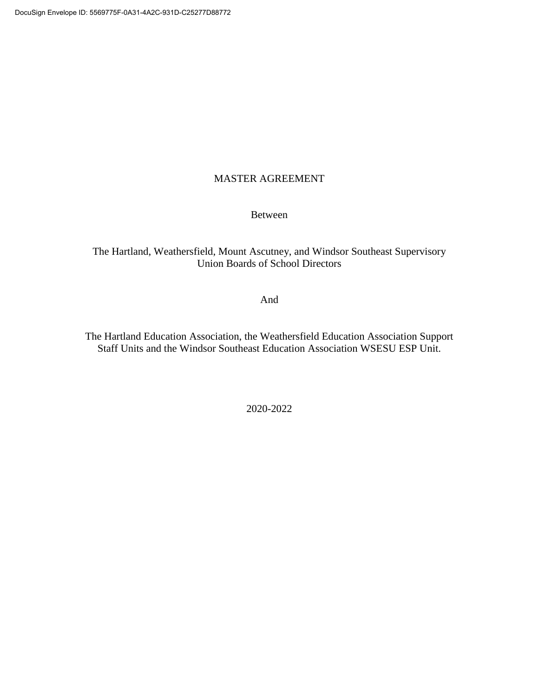### MASTER AGREEMENT

### Between

### The Hartland, Weathersfield, Mount Ascutney, and Windsor Southeast Supervisory Union Boards of School Directors

### And

The Hartland Education Association, the Weathersfield Education Association Support Staff Units and the Windsor Southeast Education Association WSESU ESP Unit.

2020-2022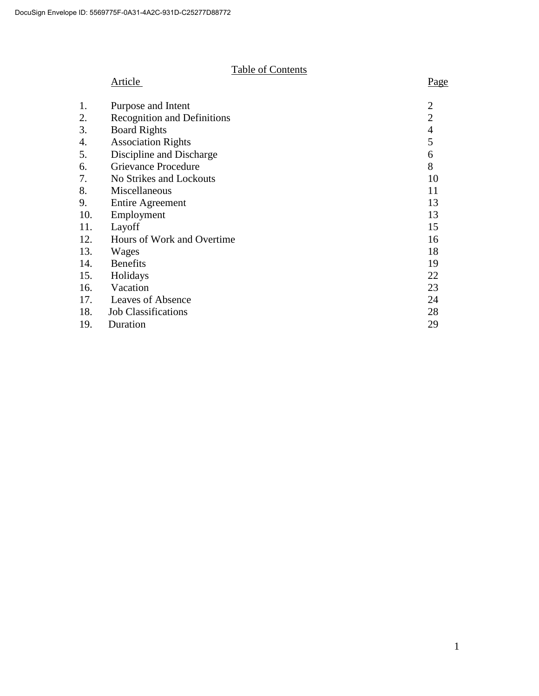### Table of Contents

# Article Page 1. Purpose and Intent 2 2. Recognition and Definitions 2 3. Board Rights 4 4. Association Rights 5 5. Discipline and Discharge 6 6. Grievance Procedure 8 7. No Strikes and Lockouts 10 8. Miscellaneous 11 9. Entire Agreement 13 10. Employment 13 11. Layoff 15 12. Hours of Work and Overtime 16 13. Wages 18 14. Benefits 19 15. Holidays 22 16. Vacation 23 17. Leaves of Absence 24 18. Job Classifications 28 19. Duration 29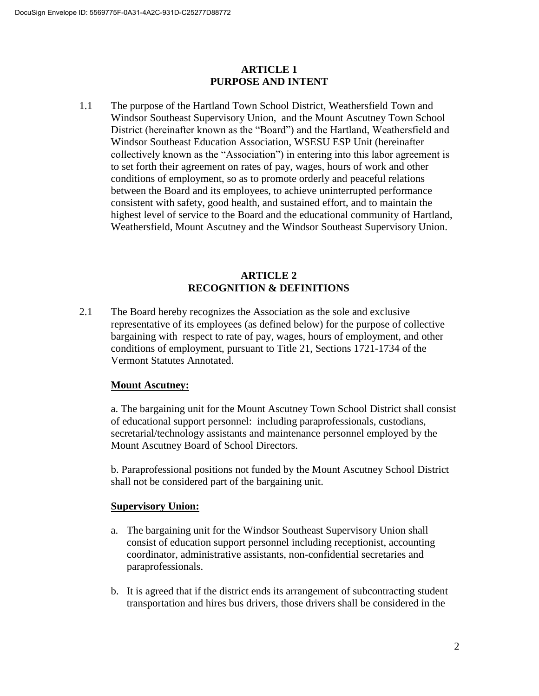### **ARTICLE 1 PURPOSE AND INTENT**

1.1 The purpose of the Hartland Town School District, Weathersfield Town and Windsor Southeast Supervisory Union, and the Mount Ascutney Town School District (hereinafter known as the "Board") and the Hartland, Weathersfield and Windsor Southeast Education Association, WSESU ESP Unit (hereinafter collectively known as the "Association") in entering into this labor agreement is to set forth their agreement on rates of pay, wages, hours of work and other conditions of employment, so as to promote orderly and peaceful relations between the Board and its employees, to achieve uninterrupted performance consistent with safety, good health, and sustained effort, and to maintain the highest level of service to the Board and the educational community of Hartland, Weathersfield, Mount Ascutney and the Windsor Southeast Supervisory Union.

# **ARTICLE 2 RECOGNITION & DEFINITIONS**

2.1 The Board hereby recognizes the Association as the sole and exclusive representative of its employees (as defined below) for the purpose of collective bargaining with respect to rate of pay, wages, hours of employment, and other conditions of employment, pursuant to Title 21, Sections 1721-1734 of the Vermont Statutes Annotated.

# **Mount Ascutney:**

a. The bargaining unit for the Mount Ascutney Town School District shall consist of educational support personnel: including paraprofessionals, custodians, secretarial/technology assistants and maintenance personnel employed by the Mount Ascutney Board of School Directors.

b. Paraprofessional positions not funded by the Mount Ascutney School District shall not be considered part of the bargaining unit.

### **Supervisory Union:**

- a. The bargaining unit for the Windsor Southeast Supervisory Union shall consist of education support personnel including receptionist, accounting coordinator, administrative assistants, non-confidential secretaries and paraprofessionals.
- b. It is agreed that if the district ends its arrangement of subcontracting student transportation and hires bus drivers, those drivers shall be considered in the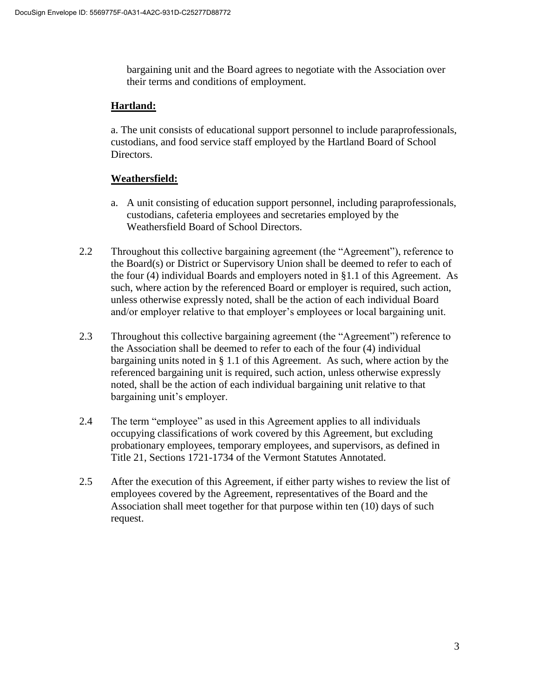bargaining unit and the Board agrees to negotiate with the Association over their terms and conditions of employment.

# **Hartland:**

a. The unit consists of educational support personnel to include paraprofessionals, custodians, and food service staff employed by the Hartland Board of School Directors.

# **Weathersfield:**

- a. A unit consisting of education support personnel, including paraprofessionals, custodians, cafeteria employees and secretaries employed by the Weathersfield Board of School Directors.
- 2.2 Throughout this collective bargaining agreement (the "Agreement"), reference to the Board(s) or District or Supervisory Union shall be deemed to refer to each of the four (4) individual Boards and employers noted in §1.1 of this Agreement. As such, where action by the referenced Board or employer is required, such action, unless otherwise expressly noted, shall be the action of each individual Board and/or employer relative to that employer's employees or local bargaining unit.
- 2.3 Throughout this collective bargaining agreement (the "Agreement") reference to the Association shall be deemed to refer to each of the four (4) individual bargaining units noted in § 1.1 of this Agreement. As such, where action by the referenced bargaining unit is required, such action, unless otherwise expressly noted, shall be the action of each individual bargaining unit relative to that bargaining unit's employer.
- 2.4 The term "employee" as used in this Agreement applies to all individuals occupying classifications of work covered by this Agreement, but excluding probationary employees, temporary employees, and supervisors, as defined in Title 21, Sections 1721-1734 of the Vermont Statutes Annotated.
- 2.5 After the execution of this Agreement, if either party wishes to review the list of employees covered by the Agreement, representatives of the Board and the Association shall meet together for that purpose within ten (10) days of such request.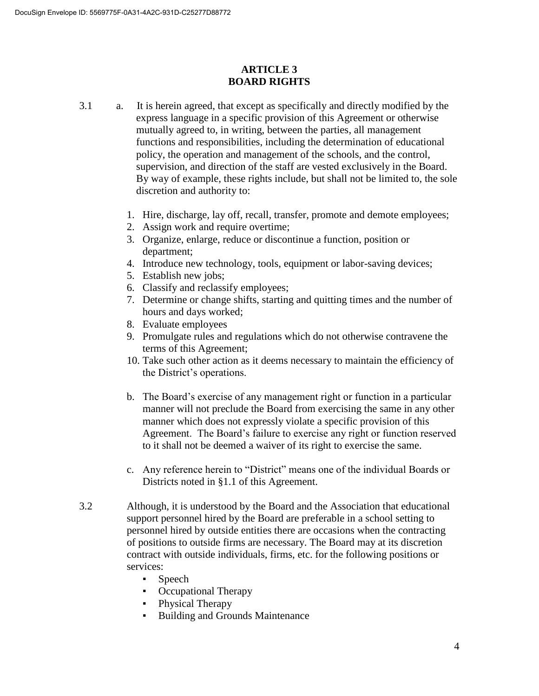# **ARTICLE 3 BOARD RIGHTS**

- 3.1 a. It is herein agreed, that except as specifically and directly modified by the express language in a specific provision of this Agreement or otherwise mutually agreed to, in writing, between the parties, all management functions and responsibilities, including the determination of educational policy, the operation and management of the schools, and the control, supervision, and direction of the staff are vested exclusively in the Board. By way of example, these rights include, but shall not be limited to, the sole discretion and authority to:
	- 1. Hire, discharge, lay off, recall, transfer, promote and demote employees;
	- 2. Assign work and require overtime;
	- 3. Organize, enlarge, reduce or discontinue a function, position or department;
	- 4. Introduce new technology, tools, equipment or labor-saving devices;
	- 5. Establish new jobs;
	- 6. Classify and reclassify employees;
	- 7. Determine or change shifts, starting and quitting times and the number of hours and days worked;
	- 8. Evaluate employees
	- 9. Promulgate rules and regulations which do not otherwise contravene the terms of this Agreement;
	- 10. Take such other action as it deems necessary to maintain the efficiency of the District's operations.
	- b. The Board's exercise of any management right or function in a particular manner will not preclude the Board from exercising the same in any other manner which does not expressly violate a specific provision of this Agreement. The Board's failure to exercise any right or function reserved to it shall not be deemed a waiver of its right to exercise the same.
	- c. Any reference herein to "District" means one of the individual Boards or Districts noted in §1.1 of this Agreement.
- 3.2 Although, it is understood by the Board and the Association that educational support personnel hired by the Board are preferable in a school setting to personnel hired by outside entities there are occasions when the contracting of positions to outside firms are necessary. The Board may at its discretion contract with outside individuals, firms, etc. for the following positions or services:
	- Speech
	- Occupational Therapy
	- Physical Therapy
	- Building and Grounds Maintenance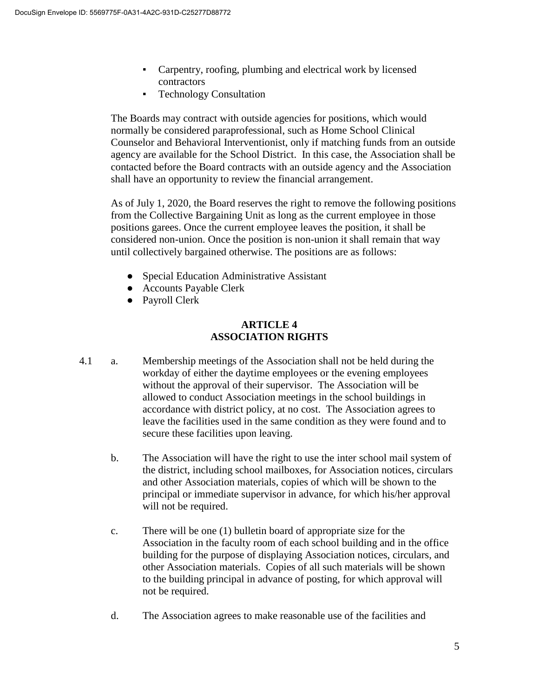- Carpentry, roofing, plumbing and electrical work by licensed contractors
- Technology Consultation

The Boards may contract with outside agencies for positions, which would normally be considered paraprofessional, such as Home School Clinical Counselor and Behavioral Interventionist, only if matching funds from an outside agency are available for the School District. In this case, the Association shall be contacted before the Board contracts with an outside agency and the Association shall have an opportunity to review the financial arrangement.

As of July 1, 2020, the Board reserves the right to remove the following positions from the Collective Bargaining Unit as long as the current employee in those positions garees. Once the current employee leaves the position, it shall be considered non-union. Once the position is non-union it shall remain that way until collectively bargained otherwise. The positions are as follows:

- Special Education Administrative Assistant
- Accounts Payable Clerk
- Payroll Clerk

### **ARTICLE 4 ASSOCIATION RIGHTS**

- 4.1 a. Membership meetings of the Association shall not be held during the workday of either the daytime employees or the evening employees without the approval of their supervisor. The Association will be allowed to conduct Association meetings in the school buildings in accordance with district policy, at no cost. The Association agrees to leave the facilities used in the same condition as they were found and to secure these facilities upon leaving.
	- b. The Association will have the right to use the inter school mail system of the district, including school mailboxes, for Association notices, circulars and other Association materials, copies of which will be shown to the principal or immediate supervisor in advance, for which his/her approval will not be required.
	- c. There will be one (1) bulletin board of appropriate size for the Association in the faculty room of each school building and in the office building for the purpose of displaying Association notices, circulars, and other Association materials. Copies of all such materials will be shown to the building principal in advance of posting, for which approval will not be required.
	- d. The Association agrees to make reasonable use of the facilities and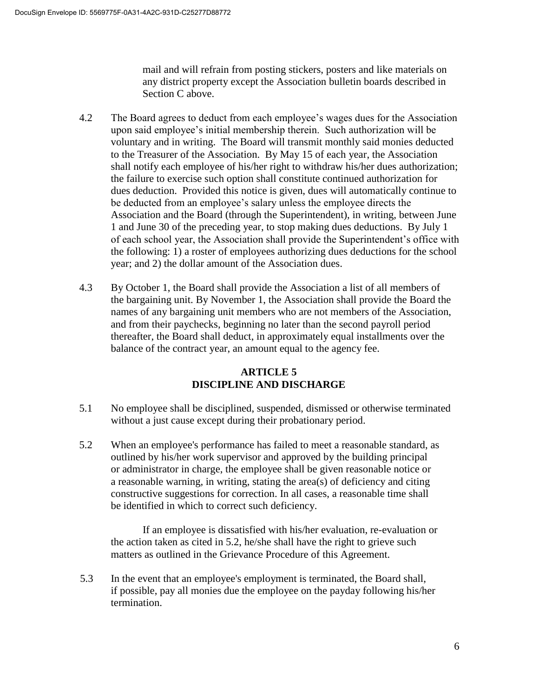mail and will refrain from posting stickers, posters and like materials on any district property except the Association bulletin boards described in Section C above.

- 4.2 The Board agrees to deduct from each employee's wages dues for the Association upon said employee's initial membership therein. Such authorization will be voluntary and in writing. The Board will transmit monthly said monies deducted to the Treasurer of the Association. By May 15 of each year, the Association shall notify each employee of his/her right to withdraw his/her dues authorization; the failure to exercise such option shall constitute continued authorization for dues deduction. Provided this notice is given, dues will automatically continue to be deducted from an employee's salary unless the employee directs the Association and the Board (through the Superintendent), in writing, between June 1 and June 30 of the preceding year, to stop making dues deductions. By July 1 of each school year, the Association shall provide the Superintendent's office with the following: 1) a roster of employees authorizing dues deductions for the school year; and 2) the dollar amount of the Association dues.
- 4.3 By October 1, the Board shall provide the Association a list of all members of the bargaining unit. By November 1, the Association shall provide the Board the names of any bargaining unit members who are not members of the Association, and from their paychecks, beginning no later than the second payroll period thereafter, the Board shall deduct, in approximately equal installments over the balance of the contract year, an amount equal to the agency fee.

# **ARTICLE 5 DISCIPLINE AND DISCHARGE**

- 5.1 No employee shall be disciplined, suspended, dismissed or otherwise terminated without a just cause except during their probationary period.
- 5.2 When an employee's performance has failed to meet a reasonable standard, as outlined by his/her work supervisor and approved by the building principal or administrator in charge, the employee shall be given reasonable notice or a reasonable warning, in writing, stating the area(s) of deficiency and citing constructive suggestions for correction. In all cases, a reasonable time shall be identified in which to correct such deficiency.

 If an employee is dissatisfied with his/her evaluation, re-evaluation or the action taken as cited in 5.2, he/she shall have the right to grieve such matters as outlined in the Grievance Procedure of this Agreement.

5.3 In the event that an employee's employment is terminated, the Board shall, if possible, pay all monies due the employee on the payday following his/her termination.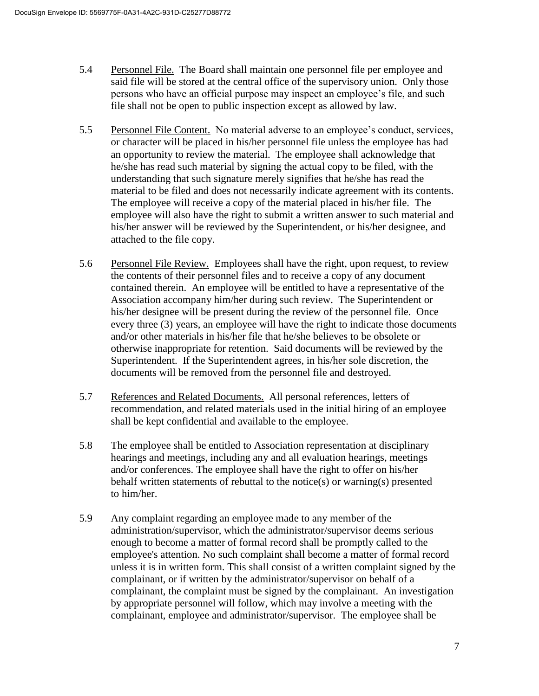- 5.4 Personnel File. The Board shall maintain one personnel file per employee and said file will be stored at the central office of the supervisory union. Only those persons who have an official purpose may inspect an employee's file, and such file shall not be open to public inspection except as allowed by law.
- 5.5 Personnel File Content. No material adverse to an employee's conduct, services, or character will be placed in his/her personnel file unless the employee has had an opportunity to review the material. The employee shall acknowledge that he/she has read such material by signing the actual copy to be filed, with the understanding that such signature merely signifies that he/she has read the material to be filed and does not necessarily indicate agreement with its contents. The employee will receive a copy of the material placed in his/her file. The employee will also have the right to submit a written answer to such material and his/her answer will be reviewed by the Superintendent, or his/her designee, and attached to the file copy.
- 5.6 Personnel File Review. Employees shall have the right, upon request, to review the contents of their personnel files and to receive a copy of any document contained therein. An employee will be entitled to have a representative of the Association accompany him/her during such review. The Superintendent or his/her designee will be present during the review of the personnel file. Once every three (3) years, an employee will have the right to indicate those documents and/or other materials in his/her file that he/she believes to be obsolete or otherwise inappropriate for retention. Said documents will be reviewed by the Superintendent. If the Superintendent agrees, in his/her sole discretion, the documents will be removed from the personnel file and destroyed.
- 5.7 References and Related Documents. All personal references, letters of recommendation, and related materials used in the initial hiring of an employee shall be kept confidential and available to the employee.
- 5.8 The employee shall be entitled to Association representation at disciplinary hearings and meetings, including any and all evaluation hearings, meetings and/or conferences. The employee shall have the right to offer on his/her behalf written statements of rebuttal to the notice(s) or warning(s) presented to him/her.
- 5.9 Any complaint regarding an employee made to any member of the administration/supervisor, which the administrator/supervisor deems serious enough to become a matter of formal record shall be promptly called to the employee's attention. No such complaint shall become a matter of formal record unless it is in written form. This shall consist of a written complaint signed by the complainant, or if written by the administrator/supervisor on behalf of a complainant, the complaint must be signed by the complainant. An investigation by appropriate personnel will follow, which may involve a meeting with the complainant, employee and administrator/supervisor. The employee shall be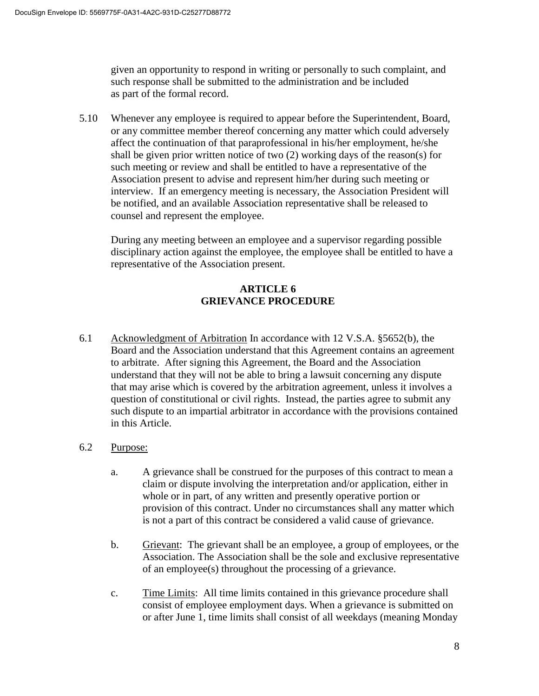given an opportunity to respond in writing or personally to such complaint, and such response shall be submitted to the administration and be included as part of the formal record.

5.10 Whenever any employee is required to appear before the Superintendent, Board, or any committee member thereof concerning any matter which could adversely affect the continuation of that paraprofessional in his/her employment, he/she shall be given prior written notice of two (2) working days of the reason(s) for such meeting or review and shall be entitled to have a representative of the Association present to advise and represent him/her during such meeting or interview. If an emergency meeting is necessary, the Association President will be notified, and an available Association representative shall be released to counsel and represent the employee.

During any meeting between an employee and a supervisor regarding possible disciplinary action against the employee, the employee shall be entitled to have a representative of the Association present.

# **ARTICLE 6 GRIEVANCE PROCEDURE**

6.1 Acknowledgment of Arbitration In accordance with 12 V.S.A. §5652(b), the Board and the Association understand that this Agreement contains an agreement to arbitrate. After signing this Agreement, the Board and the Association understand that they will not be able to bring a lawsuit concerning any dispute that may arise which is covered by the arbitration agreement, unless it involves a question of constitutional or civil rights. Instead, the parties agree to submit any such dispute to an impartial arbitrator in accordance with the provisions contained in this Article.

# 6.2 Purpose:

- a. A grievance shall be construed for the purposes of this contract to mean a claim or dispute involving the interpretation and/or application, either in whole or in part, of any written and presently operative portion or provision of this contract. Under no circumstances shall any matter which is not a part of this contract be considered a valid cause of grievance.
- b. Grievant: The grievant shall be an employee, a group of employees, or the Association. The Association shall be the sole and exclusive representative of an employee(s) throughout the processing of a grievance.
- c. Time Limits: All time limits contained in this grievance procedure shall consist of employee employment days. When a grievance is submitted on or after June 1, time limits shall consist of all weekdays (meaning Monday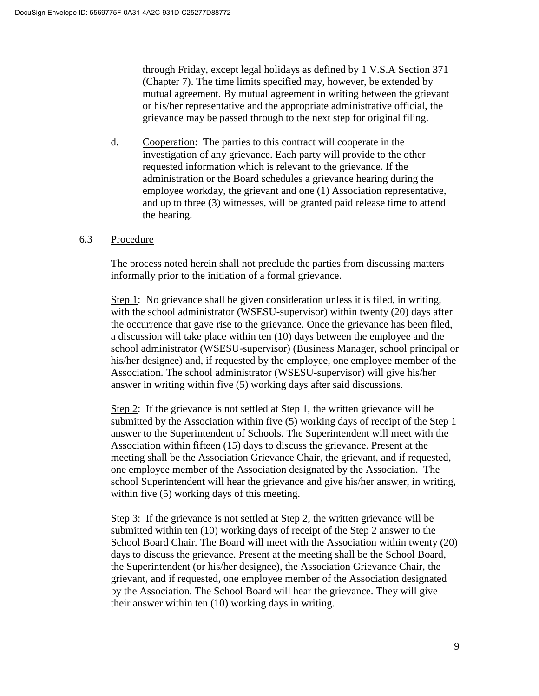through Friday, except legal holidays as defined by 1 V.S.A Section 371 (Chapter 7). The time limits specified may, however, be extended by mutual agreement. By mutual agreement in writing between the grievant or his/her representative and the appropriate administrative official, the grievance may be passed through to the next step for original filing.

d. Cooperation: The parties to this contract will cooperate in the investigation of any grievance. Each party will provide to the other requested information which is relevant to the grievance. If the administration or the Board schedules a grievance hearing during the employee workday, the grievant and one (1) Association representative, and up to three (3) witnesses, will be granted paid release time to attend the hearing.

### 6.3 Procedure

The process noted herein shall not preclude the parties from discussing matters informally prior to the initiation of a formal grievance.

Step 1: No grievance shall be given consideration unless it is filed, in writing, with the school administrator (WSESU-supervisor) within twenty (20) days after the occurrence that gave rise to the grievance. Once the grievance has been filed, a discussion will take place within ten (10) days between the employee and the school administrator (WSESU-supervisor) (Business Manager, school principal or his/her designee) and, if requested by the employee, one employee member of the Association. The school administrator (WSESU-supervisor) will give his/her answer in writing within five (5) working days after said discussions.

Step 2: If the grievance is not settled at Step 1, the written grievance will be submitted by the Association within five (5) working days of receipt of the Step 1 answer to the Superintendent of Schools. The Superintendent will meet with the Association within fifteen (15) days to discuss the grievance. Present at the meeting shall be the Association Grievance Chair, the grievant, and if requested, one employee member of the Association designated by the Association. The school Superintendent will hear the grievance and give his/her answer, in writing, within five  $(5)$  working days of this meeting.

Step 3: If the grievance is not settled at Step 2, the written grievance will be submitted within ten (10) working days of receipt of the Step 2 answer to the School Board Chair. The Board will meet with the Association within twenty (20) days to discuss the grievance. Present at the meeting shall be the School Board, the Superintendent (or his/her designee), the Association Grievance Chair, the grievant, and if requested, one employee member of the Association designated by the Association. The School Board will hear the grievance. They will give their answer within ten (10) working days in writing.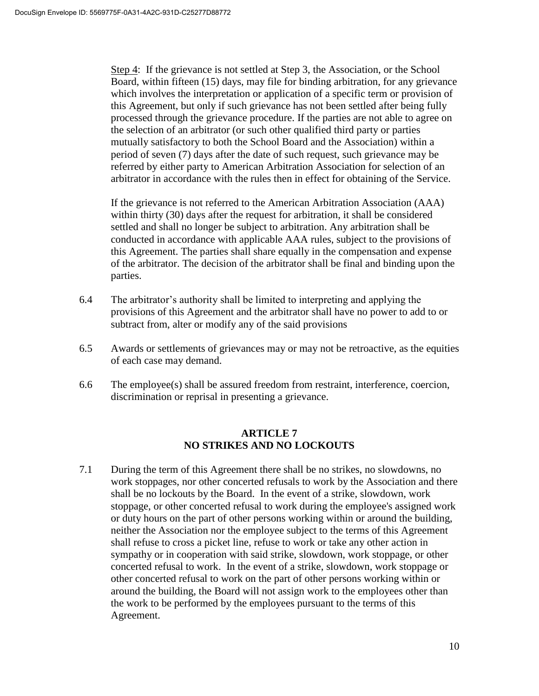Step 4: If the grievance is not settled at Step 3, the Association, or the School Board, within fifteen (15) days, may file for binding arbitration, for any grievance which involves the interpretation or application of a specific term or provision of this Agreement, but only if such grievance has not been settled after being fully processed through the grievance procedure. If the parties are not able to agree on the selection of an arbitrator (or such other qualified third party or parties mutually satisfactory to both the School Board and the Association) within a period of seven (7) days after the date of such request, such grievance may be referred by either party to American Arbitration Association for selection of an arbitrator in accordance with the rules then in effect for obtaining of the Service.

If the grievance is not referred to the American Arbitration Association (AAA) within thirty (30) days after the request for arbitration, it shall be considered settled and shall no longer be subject to arbitration. Any arbitration shall be conducted in accordance with applicable AAA rules, subject to the provisions of this Agreement. The parties shall share equally in the compensation and expense of the arbitrator. The decision of the arbitrator shall be final and binding upon the parties.

- 6.4 The arbitrator's authority shall be limited to interpreting and applying the provisions of this Agreement and the arbitrator shall have no power to add to or subtract from, alter or modify any of the said provisions
- 6.5 Awards or settlements of grievances may or may not be retroactive, as the equities of each case may demand.
- 6.6 The employee(s) shall be assured freedom from restraint, interference, coercion, discrimination or reprisal in presenting a grievance.

### **ARTICLE 7 NO STRIKES AND NO LOCKOUTS**

7.1 During the term of this Agreement there shall be no strikes, no slowdowns, no work stoppages, nor other concerted refusals to work by the Association and there shall be no lockouts by the Board. In the event of a strike, slowdown, work stoppage, or other concerted refusal to work during the employee's assigned work or duty hours on the part of other persons working within or around the building, neither the Association nor the employee subject to the terms of this Agreement shall refuse to cross a picket line, refuse to work or take any other action in sympathy or in cooperation with said strike, slowdown, work stoppage, or other concerted refusal to work. In the event of a strike, slowdown, work stoppage or other concerted refusal to work on the part of other persons working within or around the building, the Board will not assign work to the employees other than the work to be performed by the employees pursuant to the terms of this Agreement.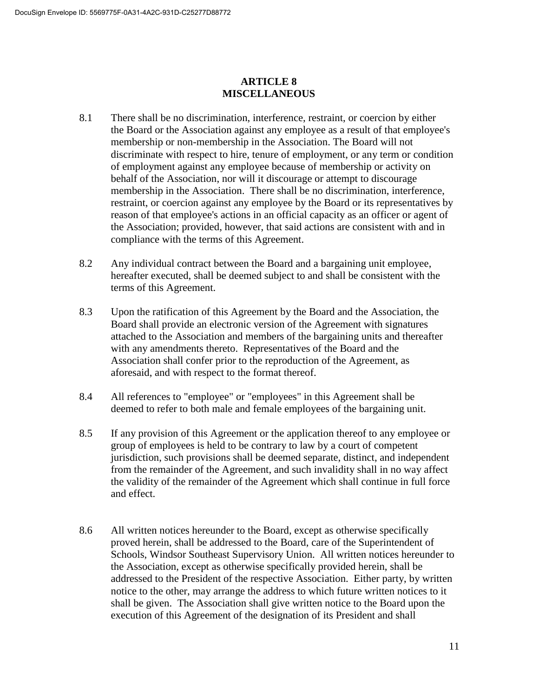# **ARTICLE 8 MISCELLANEOUS**

- 8.1 There shall be no discrimination, interference, restraint, or coercion by either the Board or the Association against any employee as a result of that employee's membership or non-membership in the Association. The Board will not discriminate with respect to hire, tenure of employment, or any term or condition of employment against any employee because of membership or activity on behalf of the Association, nor will it discourage or attempt to discourage membership in the Association. There shall be no discrimination, interference, restraint, or coercion against any employee by the Board or its representatives by reason of that employee's actions in an official capacity as an officer or agent of the Association; provided, however, that said actions are consistent with and in compliance with the terms of this Agreement.
- 8.2 Any individual contract between the Board and a bargaining unit employee, hereafter executed, shall be deemed subject to and shall be consistent with the terms of this Agreement.
- 8.3 Upon the ratification of this Agreement by the Board and the Association, the Board shall provide an electronic version of the Agreement with signatures attached to the Association and members of the bargaining units and thereafter with any amendments thereto. Representatives of the Board and the Association shall confer prior to the reproduction of the Agreement, as aforesaid, and with respect to the format thereof.
- 8.4 All references to "employee" or "employees" in this Agreement shall be deemed to refer to both male and female employees of the bargaining unit.
- 8.5 If any provision of this Agreement or the application thereof to any employee or group of employees is held to be contrary to law by a court of competent jurisdiction, such provisions shall be deemed separate, distinct, and independent from the remainder of the Agreement, and such invalidity shall in no way affect the validity of the remainder of the Agreement which shall continue in full force and effect.
- 8.6 All written notices hereunder to the Board, except as otherwise specifically proved herein, shall be addressed to the Board, care of the Superintendent of Schools, Windsor Southeast Supervisory Union. All written notices hereunder to the Association, except as otherwise specifically provided herein, shall be addressed to the President of the respective Association. Either party, by written notice to the other, may arrange the address to which future written notices to it shall be given. The Association shall give written notice to the Board upon the execution of this Agreement of the designation of its President and shall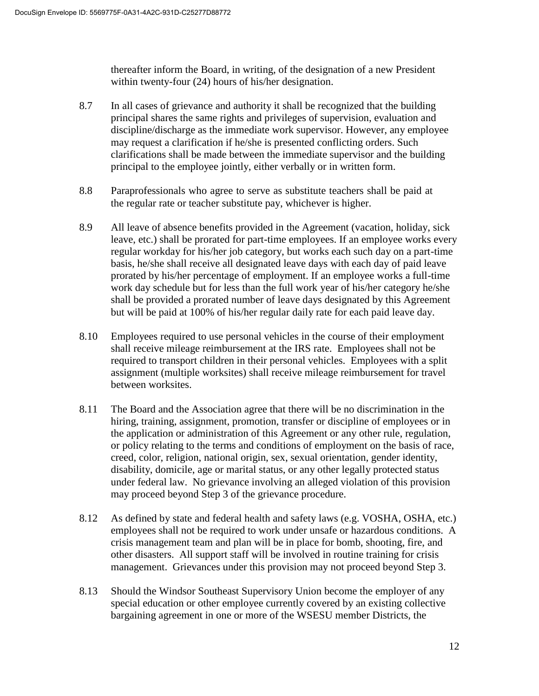thereafter inform the Board, in writing, of the designation of a new President within twenty-four (24) hours of his/her designation.

- 8.7 In all cases of grievance and authority it shall be recognized that the building principal shares the same rights and privileges of supervision, evaluation and discipline/discharge as the immediate work supervisor. However, any employee may request a clarification if he/she is presented conflicting orders. Such clarifications shall be made between the immediate supervisor and the building principal to the employee jointly, either verbally or in written form.
- 8.8 Paraprofessionals who agree to serve as substitute teachers shall be paid at the regular rate or teacher substitute pay, whichever is higher.
- 8.9 All leave of absence benefits provided in the Agreement (vacation, holiday, sick leave, etc.) shall be prorated for part-time employees. If an employee works every regular workday for his/her job category, but works each such day on a part-time basis, he/she shall receive all designated leave days with each day of paid leave prorated by his/her percentage of employment. If an employee works a full-time work day schedule but for less than the full work year of his/her category he/she shall be provided a prorated number of leave days designated by this Agreement but will be paid at 100% of his/her regular daily rate for each paid leave day.
- 8.10 Employees required to use personal vehicles in the course of their employment shall receive mileage reimbursement at the IRS rate. Employees shall not be required to transport children in their personal vehicles. Employees with a split assignment (multiple worksites) shall receive mileage reimbursement for travel between worksites.
- 8.11 The Board and the Association agree that there will be no discrimination in the hiring, training, assignment, promotion, transfer or discipline of employees or in the application or administration of this Agreement or any other rule, regulation, or policy relating to the terms and conditions of employment on the basis of race, creed, color, religion, national origin, sex, sexual orientation, gender identity, disability, domicile, age or marital status, or any other legally protected status under federal law. No grievance involving an alleged violation of this provision may proceed beyond Step 3 of the grievance procedure.
- 8.12 As defined by state and federal health and safety laws (e.g. VOSHA, OSHA, etc.) employees shall not be required to work under unsafe or hazardous conditions. A crisis management team and plan will be in place for bomb, shooting, fire, and other disasters. All support staff will be involved in routine training for crisis management. Grievances under this provision may not proceed beyond Step 3.
- 8.13 Should the Windsor Southeast Supervisory Union become the employer of any special education or other employee currently covered by an existing collective bargaining agreement in one or more of the WSESU member Districts, the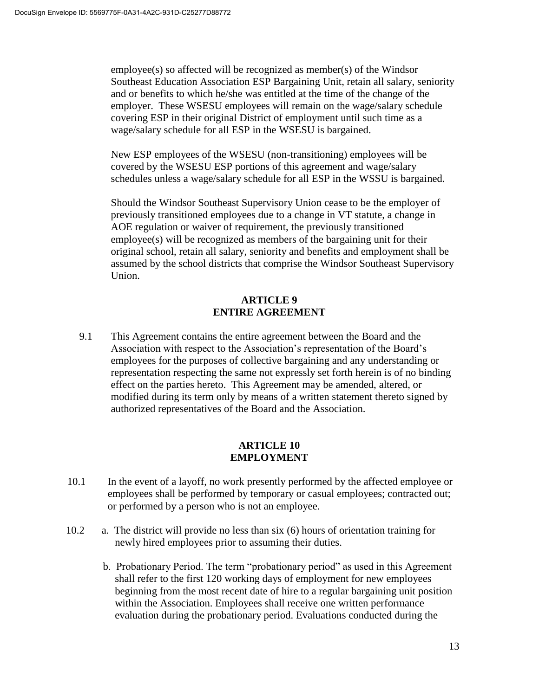employee(s) so affected will be recognized as member(s) of the Windsor Southeast Education Association ESP Bargaining Unit, retain all salary, seniority and or benefits to which he/she was entitled at the time of the change of the employer. These WSESU employees will remain on the wage/salary schedule covering ESP in their original District of employment until such time as a wage/salary schedule for all ESP in the WSESU is bargained.

New ESP employees of the WSESU (non-transitioning) employees will be covered by the WSESU ESP portions of this agreement and wage/salary schedules unless a wage/salary schedule for all ESP in the WSSU is bargained.

Should the Windsor Southeast Supervisory Union cease to be the employer of previously transitioned employees due to a change in VT statute, a change in AOE regulation or waiver of requirement, the previously transitioned employee(s) will be recognized as members of the bargaining unit for their original school, retain all salary, seniority and benefits and employment shall be assumed by the school districts that comprise the Windsor Southeast Supervisory Union.

### **ARTICLE 9 ENTIRE AGREEMENT**

9.1 This Agreement contains the entire agreement between the Board and the Association with respect to the Association's representation of the Board's employees for the purposes of collective bargaining and any understanding or representation respecting the same not expressly set forth herein is of no binding effect on the parties hereto. This Agreement may be amended, altered, or modified during its term only by means of a written statement thereto signed by authorized representatives of the Board and the Association.

# **ARTICLE 10 EMPLOYMENT**

- 10.1 In the event of a layoff, no work presently performed by the affected employee or employees shall be performed by temporary or casual employees; contracted out; or performed by a person who is not an employee.
- 10.2 a. The district will provide no less than six (6) hours of orientation training for newly hired employees prior to assuming their duties.
	- b. Probationary Period. The term "probationary period" as used in this Agreement shall refer to the first 120 working days of employment for new employees beginning from the most recent date of hire to a regular bargaining unit position within the Association. Employees shall receive one written performance evaluation during the probationary period. Evaluations conducted during the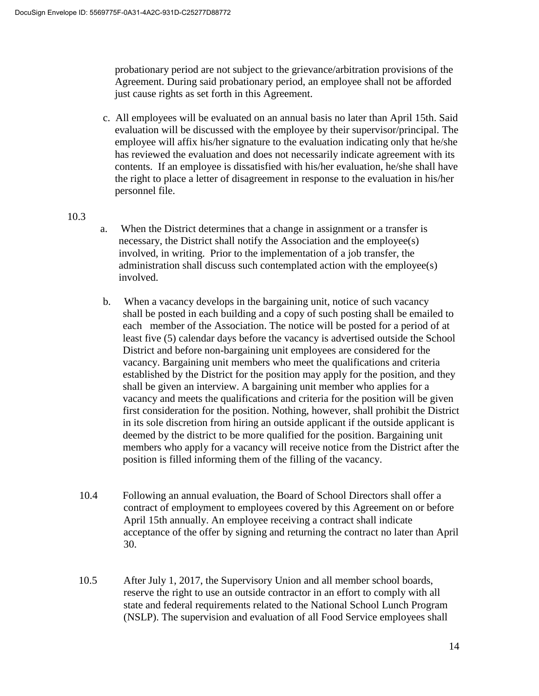probationary period are not subject to the grievance/arbitration provisions of the Agreement. During said probationary period, an employee shall not be afforded just cause rights as set forth in this Agreement.

c. All employees will be evaluated on an annual basis no later than April 15th. Said evaluation will be discussed with the employee by their supervisor/principal. The employee will affix his/her signature to the evaluation indicating only that he/she has reviewed the evaluation and does not necessarily indicate agreement with its contents. If an employee is dissatisfied with his/her evaluation, he/she shall have the right to place a letter of disagreement in response to the evaluation in his/her personnel file.

### 10.3

- a. When the District determines that a change in assignment or a transfer is necessary, the District shall notify the Association and the employee(s) involved, in writing. Prior to the implementation of a job transfer, the administration shall discuss such contemplated action with the employee(s) involved.
- b. When a vacancy develops in the bargaining unit, notice of such vacancy shall be posted in each building and a copy of such posting shall be emailed to each member of the Association. The notice will be posted for a period of at least five (5) calendar days before the vacancy is advertised outside the School District and before non-bargaining unit employees are considered for the vacancy. Bargaining unit members who meet the qualifications and criteria established by the District for the position may apply for the position, and they shall be given an interview. A bargaining unit member who applies for a vacancy and meets the qualifications and criteria for the position will be given first consideration for the position. Nothing, however, shall prohibit the District in its sole discretion from hiring an outside applicant if the outside applicant is deemed by the district to be more qualified for the position. Bargaining unit members who apply for a vacancy will receive notice from the District after the position is filled informing them of the filling of the vacancy.
- 10.4 Following an annual evaluation, the Board of School Directors shall offer a contract of employment to employees covered by this Agreement on or before April 15th annually. An employee receiving a contract shall indicate acceptance of the offer by signing and returning the contract no later than April 30.
- 10.5 After July 1, 2017, the Supervisory Union and all member school boards, reserve the right to use an outside contractor in an effort to comply with all state and federal requirements related to the National School Lunch Program (NSLP). The supervision and evaluation of all Food Service employees shall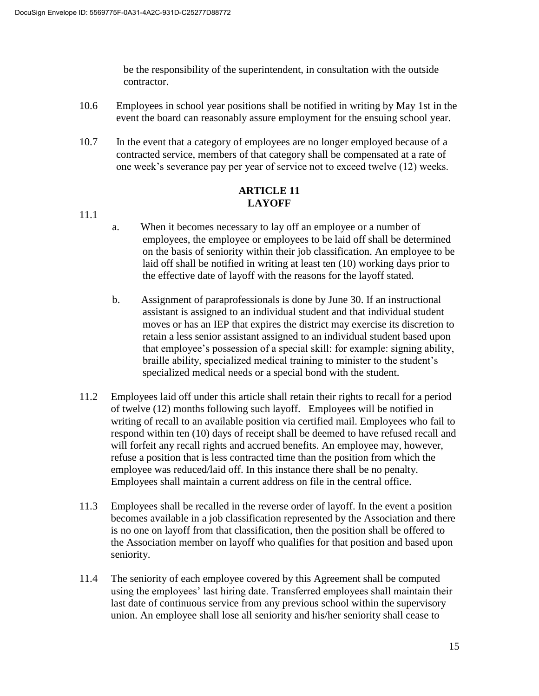be the responsibility of the superintendent, in consultation with the outside contractor.

- 10.6 Employees in school year positions shall be notified in writing by May 1st in the event the board can reasonably assure employment for the ensuing school year.
- 10.7 In the event that a category of employees are no longer employed because of a contracted service, members of that category shall be compensated at a rate of one week's severance pay per year of service not to exceed twelve (12) weeks.

### **ARTICLE 11 LAYOFF**

- 11.1
- a. When it becomes necessary to lay off an employee or a number of employees, the employee or employees to be laid off shall be determined on the basis of seniority within their job classification. An employee to be laid off shall be notified in writing at least ten (10) working days prior to the effective date of layoff with the reasons for the layoff stated.
- b. Assignment of paraprofessionals is done by June 30. If an instructional assistant is assigned to an individual student and that individual student moves or has an IEP that expires the district may exercise its discretion to retain a less senior assistant assigned to an individual student based upon that employee's possession of a special skill: for example: signing ability, braille ability, specialized medical training to minister to the student's specialized medical needs or a special bond with the student.
- 11.2 Employees laid off under this article shall retain their rights to recall for a period of twelve (12) months following such layoff.Employees will be notified in writing of recall to an available position via certified mail. Employees who fail to respond within ten (10) days of receipt shall be deemed to have refused recall and will forfeit any recall rights and accrued benefits. An employee may, however, refuse a position that is less contracted time than the position from which the employee was reduced/laid off. In this instance there shall be no penalty. Employees shall maintain a current address on file in the central office.
- 11.3 Employees shall be recalled in the reverse order of layoff. In the event a position becomes available in a job classification represented by the Association and there is no one on layoff from that classification, then the position shall be offered to the Association member on layoff who qualifies for that position and based upon seniority.
- 11.4 The seniority of each employee covered by this Agreement shall be computed using the employees' last hiring date. Transferred employees shall maintain their last date of continuous service from any previous school within the supervisory union. An employee shall lose all seniority and his/her seniority shall cease to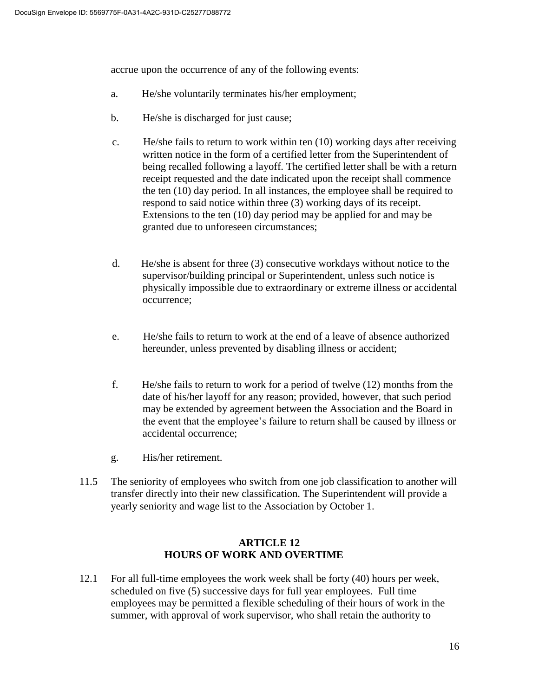accrue upon the occurrence of any of the following events:

- a. He/she voluntarily terminates his/her employment;
- b. He/she is discharged for just cause;
- c. He/she fails to return to work within ten (10) working days after receiving written notice in the form of a certified letter from the Superintendent of being recalled following a layoff. The certified letter shall be with a return receipt requested and the date indicated upon the receipt shall commence the ten (10) day period. In all instances, the employee shall be required to respond to said notice within three (3) working days of its receipt. Extensions to the ten (10) day period may be applied for and may be granted due to unforeseen circumstances;
- d. He/she is absent for three (3) consecutive workdays without notice to the supervisor/building principal or Superintendent, unless such notice is physically impossible due to extraordinary or extreme illness or accidental occurrence;
- e. He/she fails to return to work at the end of a leave of absence authorized hereunder, unless prevented by disabling illness or accident;
- f. He/she fails to return to work for a period of twelve (12) months from the date of his/her layoff for any reason; provided, however, that such period may be extended by agreement between the Association and the Board in the event that the employee's failure to return shall be caused by illness or accidental occurrence;
- g. His/her retirement.
- 11.5 The seniority of employees who switch from one job classification to another will transfer directly into their new classification. The Superintendent will provide a yearly seniority and wage list to the Association by October 1.

### **ARTICLE 12 HOURS OF WORK AND OVERTIME**

12.1 For all full-time employees the work week shall be forty (40) hours per week, scheduled on five (5) successive days for full year employees. Full time employees may be permitted a flexible scheduling of their hours of work in the summer, with approval of work supervisor, who shall retain the authority to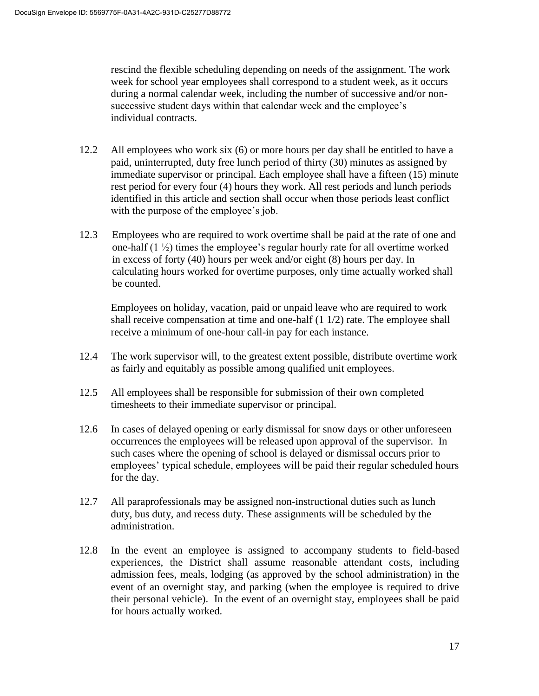rescind the flexible scheduling depending on needs of the assignment. The work week for school year employees shall correspond to a student week, as it occurs during a normal calendar week, including the number of successive and/or nonsuccessive student days within that calendar week and the employee's individual contracts.

- 12.2 All employees who work six (6) or more hours per day shall be entitled to have a paid, uninterrupted, duty free lunch period of thirty (30) minutes as assigned by immediate supervisor or principal. Each employee shall have a fifteen (15) minute rest period for every four (4) hours they work. All rest periods and lunch periods identified in this article and section shall occur when those periods least conflict with the purpose of the employee's job.
- 12.3 Employees who are required to work overtime shall be paid at the rate of one and one-half (1 ½) times the employee's regular hourly rate for all overtime worked in excess of forty (40) hours per week and/or eight (8) hours per day. In calculating hours worked for overtime purposes, only time actually worked shall be counted.

Employees on holiday, vacation, paid or unpaid leave who are required to work shall receive compensation at time and one-half (1 1/2) rate. The employee shall receive a minimum of one-hour call-in pay for each instance.

- 12.4 The work supervisor will, to the greatest extent possible, distribute overtime work as fairly and equitably as possible among qualified unit employees.
- 12.5 All employees shall be responsible for submission of their own completed timesheets to their immediate supervisor or principal.
- 12.6 In cases of delayed opening or early dismissal for snow days or other unforeseen occurrences the employees will be released upon approval of the supervisor. In such cases where the opening of school is delayed or dismissal occurs prior to employees' typical schedule, employees will be paid their regular scheduled hours for the day.
- 12.7 All paraprofessionals may be assigned non-instructional duties such as lunch duty, bus duty, and recess duty. These assignments will be scheduled by the administration.
- 12.8 In the event an employee is assigned to accompany students to field-based experiences, the District shall assume reasonable attendant costs, including admission fees, meals, lodging (as approved by the school administration) in the event of an overnight stay, and parking (when the employee is required to drive their personal vehicle). In the event of an overnight stay, employees shall be paid for hours actually worked.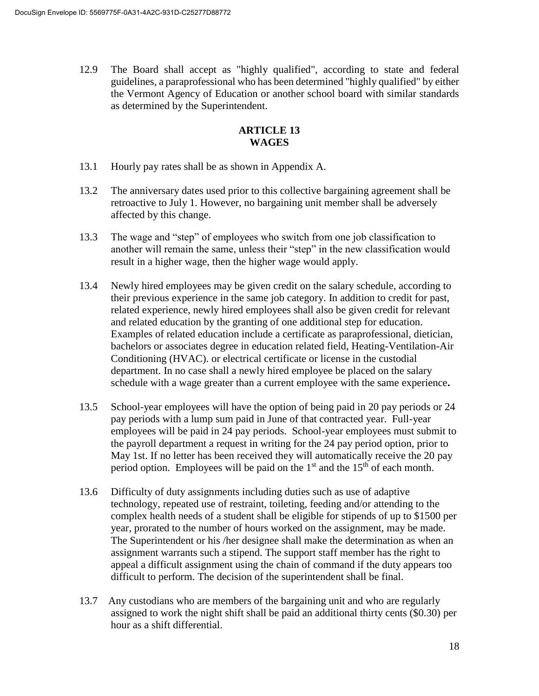12.9 The Board shall accept as "highly qualified", according to state and federal guidelines, a paraprofessional who has been determined "highly qualified" by either the Vermont Agency of Education or another school board with similar standards as determined by the Superintendent.

# **ARTICLE 13 WAGES**

- 13.1 Hourly pay rates shall be as shown in Appendix A.
- 13.2 The anniversary dates used prior to this collective bargaining agreement shall be retroactive to July 1. However, no bargaining unit member shall be adversely affected by this change.
- 13.3 The wage and "step" of employees who switch from one job classification to another will remain the same, unless their "step" in the new classification would result in a higher wage, then the higher wage would apply.
- 13.4 Newly hired employees may be given credit on the salary schedule, according to their previous experience in the same job category. In addition to credit for past, related experience, newly hired employees shall also be given credit for relevant and related education by the granting of one additional step for education. Examples of related education include a certificate as paraprofessional, dietician, bachelors or associates degree in education related field, Heating-Ventilation-Air Conditioning (HVAC). or electrical certificate or license in the custodial department. In no case shall a newly hired employee be placed on the salary schedule with a wage greater than a current employee with the same experience**.**
- 13.5 School-year employees will have the option of being paid in 20 pay periods or 24 pay periods with a lump sum paid in June of that contracted year. Full-year employees will be paid in 24 pay periods. School-year employees must submit to the payroll department a request in writing for the 24 pay period option, prior to May 1st. If no letter has been received they will automatically receive the 20 pay period option. Employees will be paid on the  $1<sup>st</sup>$  and the  $15<sup>th</sup>$  of each month.
- 13.6 Difficulty of duty assignments including duties such as use of adaptive technology, repeated use of restraint, toileting, feeding and/or attending to the complex health needs of a student shall be eligible for stipends of up to \$1500 per year, prorated to the number of hours worked on the assignment, may be made. The Superintendent or his /her designee shall make the determination as when an assignment warrants such a stipend. The support staff member has the right to appeal a difficult assignment using the chain of command if the duty appears too difficult to perform. The decision of the superintendent shall be final.
- 13.7 Any custodians who are members of the bargaining unit and who are regularly assigned to work the night shift shall be paid an additional thirty cents (\$0.30) per hour as a shift differential.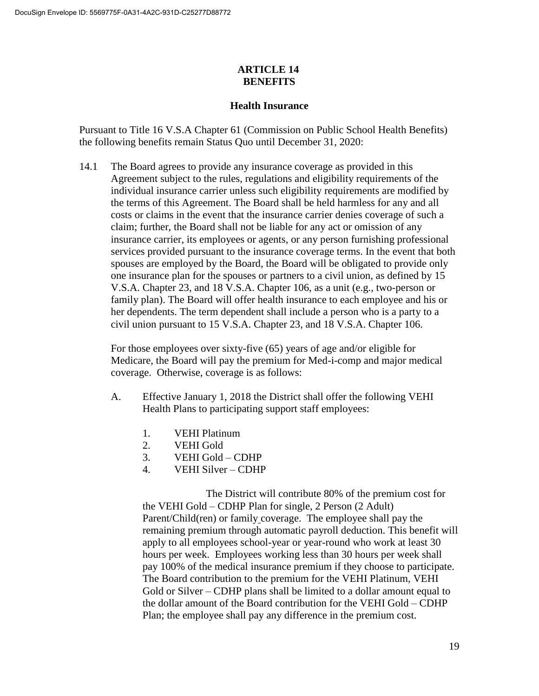### **ARTICLE 14 BENEFITS**

### **Health Insurance**

Pursuant to Title 16 V.S.A Chapter 61 (Commission on Public School Health Benefits) the following benefits remain Status Quo until December 31, 2020:

14.1 The Board agrees to provide any insurance coverage as provided in this Agreement subject to the rules, regulations and eligibility requirements of the individual insurance carrier unless such eligibility requirements are modified by the terms of this Agreement. The Board shall be held harmless for any and all costs or claims in the event that the insurance carrier denies coverage of such a claim; further, the Board shall not be liable for any act or omission of any insurance carrier, its employees or agents, or any person furnishing professional services provided pursuant to the insurance coverage terms. In the event that both spouses are employed by the Board, the Board will be obligated to provide only one insurance plan for the spouses or partners to a civil union, as defined by 15 V.S.A. Chapter 23, and 18 V.S.A. Chapter 106, as a unit (e.g., two-person or family plan). The Board will offer health insurance to each employee and his or her dependents. The term dependent shall include a person who is a party to a civil union pursuant to 15 V.S.A. Chapter 23, and 18 V.S.A. Chapter 106.

For those employees over sixty-five (65) years of age and/or eligible for Medicare, the Board will pay the premium for Med-i-comp and major medical coverage. Otherwise, coverage is as follows:

- A. Effective January 1, 2018 the District shall offer the following VEHI Health Plans to participating support staff employees:
	- 1. VEHI Platinum
	- 2. VEHI Gold
	- 3. VEHI Gold CDHP
	- 4. VEHI Silver CDHP

 The District will contribute 80% of the premium cost for the VEHI Gold – CDHP Plan for single, 2 Person (2 Adult) Parent/Child(ren) or family coverage. The employee shall pay the remaining premium through automatic payroll deduction. This benefit will apply to all employees school-year or year-round who work at least 30 hours per week. Employees working less than 30 hours per week shall pay 100% of the medical insurance premium if they choose to participate. The Board contribution to the premium for the VEHI Platinum, VEHI Gold or Silver – CDHP plans shall be limited to a dollar amount equal to the dollar amount of the Board contribution for the VEHI Gold – CDHP Plan; the employee shall pay any difference in the premium cost.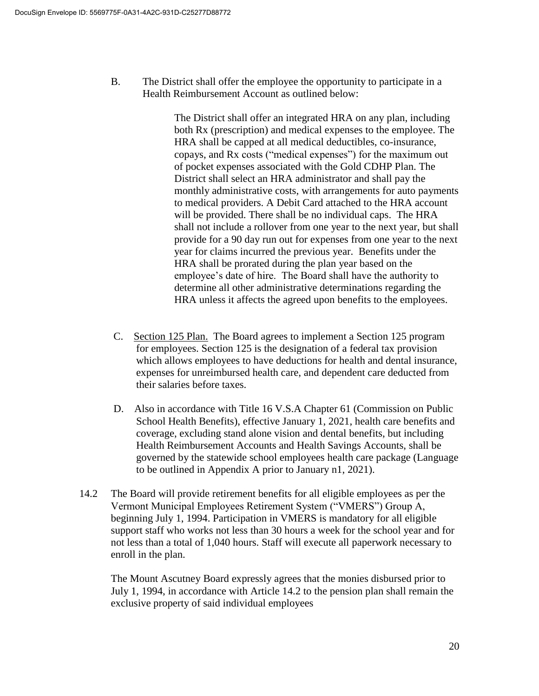B. The District shall offer the employee the opportunity to participate in a Health Reimbursement Account as outlined below:

> The District shall offer an integrated HRA on any plan, including both Rx (prescription) and medical expenses to the employee. The HRA shall be capped at all medical deductibles, co-insurance, copays, and Rx costs ("medical expenses") for the maximum out of pocket expenses associated with the Gold CDHP Plan. The District shall select an HRA administrator and shall pay the monthly administrative costs, with arrangements for auto payments to medical providers. A Debit Card attached to the HRA account will be provided. There shall be no individual caps. The HRA shall not include a rollover from one year to the next year, but shall provide for a 90 day run out for expenses from one year to the next year for claims incurred the previous year. Benefits under the HRA shall be prorated during the plan year based on the employee's date of hire. The Board shall have the authority to determine all other administrative determinations regarding the HRA unless it affects the agreed upon benefits to the employees.

- C. Section 125 Plan. The Board agrees to implement a Section 125 program for employees. Section 125 is the designation of a federal tax provision which allows employees to have deductions for health and dental insurance, expenses for unreimbursed health care, and dependent care deducted from their salaries before taxes.
- D. Also in accordance with Title 16 V.S.A Chapter 61 (Commission on Public School Health Benefits), effective January 1, 2021, health care benefits and coverage, excluding stand alone vision and dental benefits, but including Health Reimbursement Accounts and Health Savings Accounts, shall be governed by the statewide school employees health care package (Language to be outlined in Appendix A prior to January n1, 2021).
- 14.2 The Board will provide retirement benefits for all eligible employees as per the Vermont Municipal Employees Retirement System ("VMERS") Group A, beginning July 1, 1994. Participation in VMERS is mandatory for all eligible support staff who works not less than 30 hours a week for the school year and for not less than a total of 1,040 hours. Staff will execute all paperwork necessary to enroll in the plan.

The Mount Ascutney Board expressly agrees that the monies disbursed prior to July 1, 1994, in accordance with Article 14.2 to the pension plan shall remain the exclusive property of said individual employees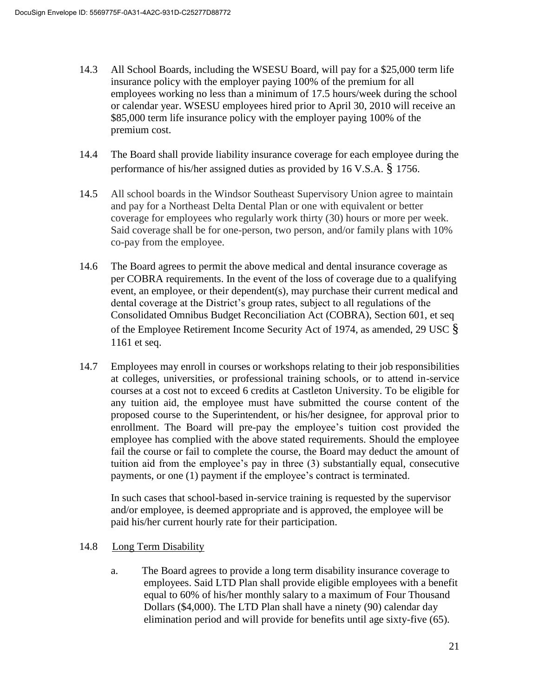- 14.3 All School Boards, including the WSESU Board, will pay for a \$25,000 term life insurance policy with the employer paying 100% of the premium for all employees working no less than a minimum of 17.5 hours/week during the school or calendar year. WSESU employees hired prior to April 30, 2010 will receive an \$85,000 term life insurance policy with the employer paying 100% of the premium cost.
- 14.4 The Board shall provide liability insurance coverage for each employee during the performance of his/her assigned duties as provided by 16 V.S.A. § 1756.
- 14.5 All school boards in the Windsor Southeast Supervisory Union agree to maintain and pay for a Northeast Delta Dental Plan or one with equivalent or better coverage for employees who regularly work thirty (30) hours or more per week. Said coverage shall be for one-person, two person, and/or family plans with 10% co-pay from the employee.
- 14.6 The Board agrees to permit the above medical and dental insurance coverage as per COBRA requirements. In the event of the loss of coverage due to a qualifying event, an employee, or their dependent(s), may purchase their current medical and dental coverage at the District's group rates, subject to all regulations of the Consolidated Omnibus Budget Reconciliation Act (COBRA), Section 601, et seq of the Employee Retirement Income Security Act of 1974, as amended, 29 USC  $\S$ 1161 et seq.
- 14.7 Employees may enroll in courses or workshops relating to their job responsibilities at colleges, universities, or professional training schools, or to attend in-service courses at a cost not to exceed 6 credits at Castleton University. To be eligible for any tuition aid, the employee must have submitted the course content of the proposed course to the Superintendent, or his/her designee, for approval prior to enrollment. The Board will pre-pay the employee's tuition cost provided the employee has complied with the above stated requirements. Should the employee fail the course or fail to complete the course, the Board may deduct the amount of tuition aid from the employee's pay in three (3) substantially equal, consecutive payments, or one (1) payment if the employee's contract is terminated.

In such cases that school-based in-service training is requested by the supervisor and/or employee, is deemed appropriate and is approved, the employee will be paid his/her current hourly rate for their participation.

# 14.8 Long Term Disability

a. The Board agrees to provide a long term disability insurance coverage to employees. Said LTD Plan shall provide eligible employees with a benefit equal to 60% of his/her monthly salary to a maximum of Four Thousand Dollars (\$4,000). The LTD Plan shall have a ninety (90) calendar day elimination period and will provide for benefits until age sixty-five (65).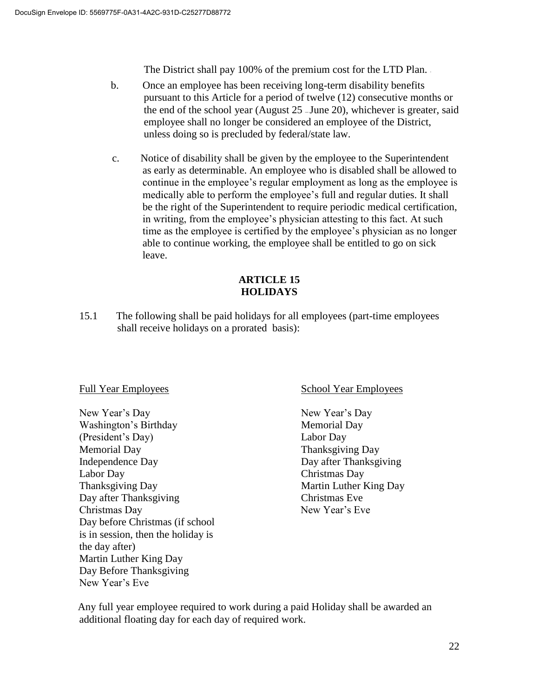The District shall pay 100% of the premium cost for the LTD Plan. -

- b. Once an employee has been receiving long-term disability benefits pursuant to this Article for a period of twelve (12) consecutive months or the end of the school year (August 25 — June 20), whichever is greater, said employee shall no longer be considered an employee of the District, unless doing so is precluded by federal/state law.
- c. Notice of disability shall be given by the employee to the Superintendent as early as determinable. An employee who is disabled shall be allowed to continue in the employee's regular employment as long as the employee is medically able to perform the employee's full and regular duties. It shall be the right of the Superintendent to require periodic medical certification, in writing, from the employee's physician attesting to this fact. At such time as the employee is certified by the employee's physician as no longer able to continue working, the employee shall be entitled to go on sick leave.

# **ARTICLE 15 HOLIDAYS**

15.1 The following shall be paid holidays for all employees (part-time employees shall receive holidays on a prorated basis):

New Year's Day New Year's Day Washington's Birthday Memorial Day (President's Day) Labor Day Memorial Day Thanksgiving Day Independence Day Day after Thanksgiving Labor Day Christmas Day Thanksgiving Day Martin Luther King Day Day after Thanksgiving Christmas Eve Christmas Day New Year's Eve Day before Christmas (if school is in session, then the holiday is the day after) Martin Luther King Day Day Before Thanksgiving New Year's Eve

# Full Year Employees School Year Employees

 Any full year employee required to work during a paid Holiday shall be awarded an additional floating day for each day of required work.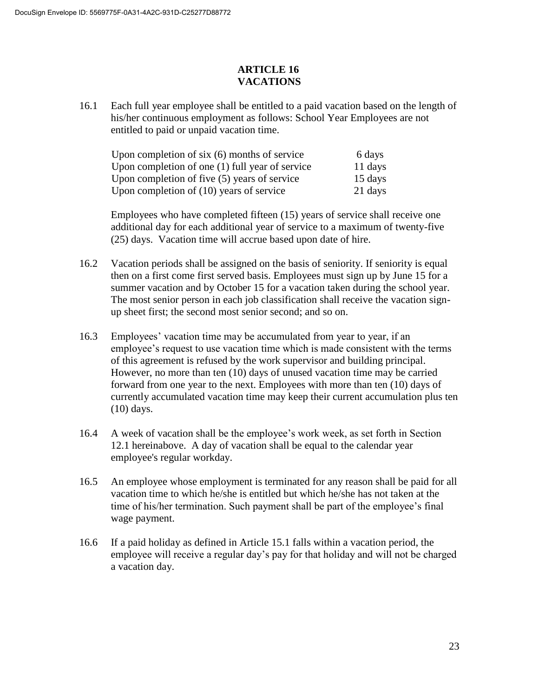### **ARTICLE 16 VACATIONS**

16.1 Each full year employee shall be entitled to a paid vacation based on the length of his/her continuous employment as follows: School Year Employees are not entitled to paid or unpaid vacation time.

| Upon completion of $six(6)$ months of service   | 6 days  |
|-------------------------------------------------|---------|
| Upon completion of one (1) full year of service | 11 days |
| Upon completion of five $(5)$ years of service  | 15 days |
| Upon completion of (10) years of service        | 21 days |

Employees who have completed fifteen (15) years of service shall receive one additional day for each additional year of service to a maximum of twenty-five (25) days. Vacation time will accrue based upon date of hire.

- 16.2 Vacation periods shall be assigned on the basis of seniority. If seniority is equal then on a first come first served basis. Employees must sign up by June 15 for a summer vacation and by October 15 for a vacation taken during the school year. The most senior person in each job classification shall receive the vacation signup sheet first; the second most senior second; and so on.
- 16.3 Employees' vacation time may be accumulated from year to year, if an employee's request to use vacation time which is made consistent with the terms of this agreement is refused by the work supervisor and building principal. However, no more than ten (10) days of unused vacation time may be carried forward from one year to the next. Employees with more than ten (10) days of currently accumulated vacation time may keep their current accumulation plus ten (10) days.
- 16.4 A week of vacation shall be the employee's work week, as set forth in Section 12.1 hereinabove. A day of vacation shall be equal to the calendar year employee's regular workday.
- 16.5 An employee whose employment is terminated for any reason shall be paid for all vacation time to which he/she is entitled but which he/she has not taken at the time of his/her termination. Such payment shall be part of the employee's final wage payment.
- 16.6 If a paid holiday as defined in Article 15.1 falls within a vacation period, the employee will receive a regular day's pay for that holiday and will not be charged a vacation day.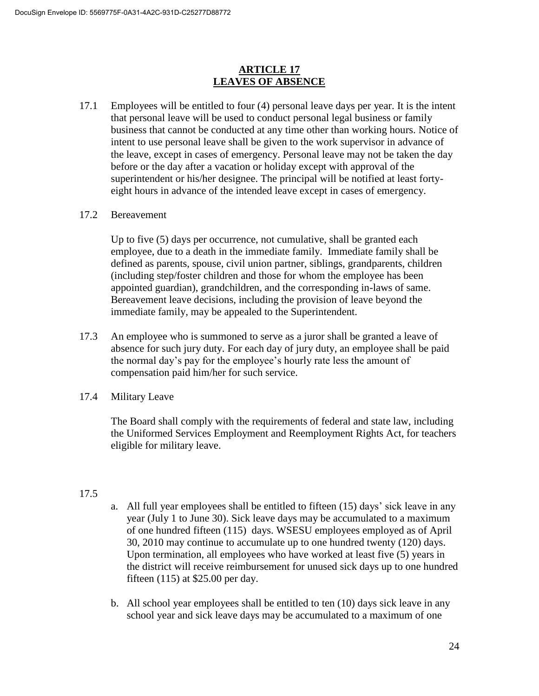### **ARTICLE 17 LEAVES OF ABSENCE**

17.1 Employees will be entitled to four (4) personal leave days per year. It is the intent that personal leave will be used to conduct personal legal business or family business that cannot be conducted at any time other than working hours. Notice of intent to use personal leave shall be given to the work supervisor in advance of the leave, except in cases of emergency. Personal leave may not be taken the day before or the day after a vacation or holiday except with approval of the superintendent or his/her designee. The principal will be notified at least fortyeight hours in advance of the intended leave except in cases of emergency.

# 17.2 Bereavement

Up to five (5) days per occurrence, not cumulative, shall be granted each employee, due to a death in the immediate family. Immediate family shall be defined as parents, spouse, civil union partner, siblings, grandparents, children (including step/foster children and those for whom the employee has been appointed guardian), grandchildren, and the corresponding in-laws of same. Bereavement leave decisions, including the provision of leave beyond the immediate family, may be appealed to the Superintendent.

- 17.3 An employee who is summoned to serve as a juror shall be granted a leave of absence for such jury duty. For each day of jury duty, an employee shall be paid the normal day's pay for the employee's hourly rate less the amount of compensation paid him/her for such service.
- 17.4 Military Leave

 The Board shall comply with the requirements of federal and state law, including the Uniformed Services Employment and Reemployment Rights Act, for teachers eligible for military leave.

# 17.5

- a. All full year employees shall be entitled to fifteen (15) days' sick leave in any year (July 1 to June 30). Sick leave days may be accumulated to a maximum of one hundred fifteen (115) days. WSESU employees employed as of April 30, 2010 may continue to accumulate up to one hundred twenty (120) days. Upon termination, all employees who have worked at least five (5) years in the district will receive reimbursement for unused sick days up to one hundred fifteen (115) at \$25.00 per day.
- b. All school year employees shall be entitled to ten (10) days sick leave in any school year and sick leave days may be accumulated to a maximum of one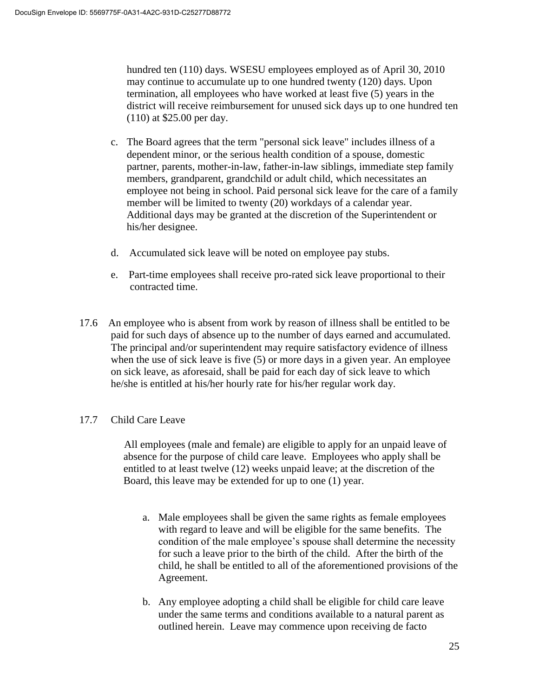hundred ten (110) days. WSESU employees employed as of April 30, 2010 may continue to accumulate up to one hundred twenty (120) days. Upon termination, all employees who have worked at least five (5) years in the district will receive reimbursement for unused sick days up to one hundred ten (110) at \$25.00 per day.

- c. The Board agrees that the term "personal sick leave" includes illness of a dependent minor, or the serious health condition of a spouse, domestic partner, parents, mother-in-law, father-in-law siblings, immediate step family members, grandparent, grandchild or adult child, which necessitates an employee not being in school. Paid personal sick leave for the care of a family member will be limited to twenty (20) workdays of a calendar year. Additional days may be granted at the discretion of the Superintendent or his/her designee.
- d.Accumulated sick leave will be noted on employee pay stubs.
- e. Part-time employees shall receive pro-rated sick leave proportional to their contracted time.
- 17.6 An employee who is absent from work by reason of illness shall be entitled to be paid for such days of absence up to the number of days earned and accumulated. The principal and/or superintendent may require satisfactory evidence of illness when the use of sick leave is five (5) or more days in a given year. An employee on sick leave, as aforesaid, shall be paid for each day of sick leave to which he/she is entitled at his/her hourly rate for his/her regular work day.

### 17.7 Child Care Leave

 All employees (male and female) are eligible to apply for an unpaid leave of absence for the purpose of child care leave. Employees who apply shall be entitled to at least twelve (12) weeks unpaid leave; at the discretion of the Board, this leave may be extended for up to one (1) year.

- a. Male employees shall be given the same rights as female employees with regard to leave and will be eligible for the same benefits. The condition of the male employee's spouse shall determine the necessity for such a leave prior to the birth of the child. After the birth of the child, he shall be entitled to all of the aforementioned provisions of the Agreement.
- b. Any employee adopting a child shall be eligible for child care leave under the same terms and conditions available to a natural parent as outlined herein. Leave may commence upon receiving de facto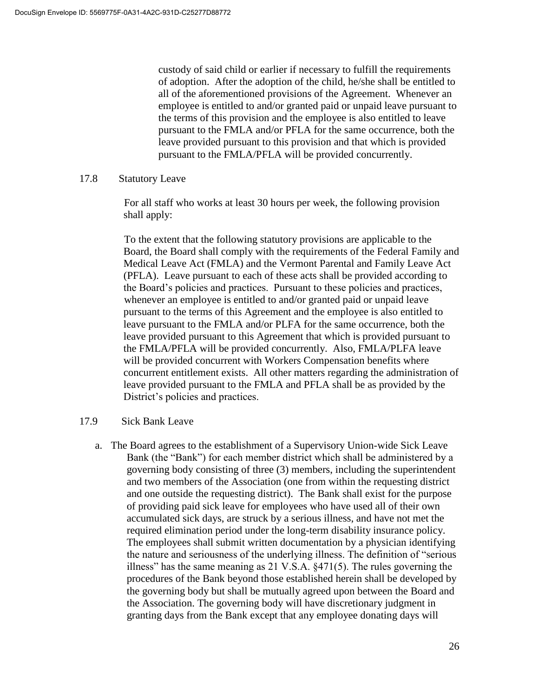custody of said child or earlier if necessary to fulfill the requirements of adoption. After the adoption of the child, he/she shall be entitled to all of the aforementioned provisions of the Agreement. Whenever an employee is entitled to and/or granted paid or unpaid leave pursuant to the terms of this provision and the employee is also entitled to leave pursuant to the FMLA and/or PFLA for the same occurrence, both the leave provided pursuant to this provision and that which is provided pursuant to the FMLA/PFLA will be provided concurrently.

17.8 Statutory Leave

 For all staff who works at least 30 hours per week, the following provision shall apply:

 To the extent that the following statutory provisions are applicable to the Board, the Board shall comply with the requirements of the Federal Family and Medical Leave Act (FMLA) and the Vermont Parental and Family Leave Act (PFLA). Leave pursuant to each of these acts shall be provided according to the Board's policies and practices. Pursuant to these policies and practices, whenever an employee is entitled to and/or granted paid or unpaid leave pursuant to the terms of this Agreement and the employee is also entitled to leave pursuant to the FMLA and/or PLFA for the same occurrence, both the leave provided pursuant to this Agreement that which is provided pursuant to the FMLA/PFLA will be provided concurrently. Also, FMLA/PLFA leave will be provided concurrent with Workers Compensation benefits where concurrent entitlement exists. All other matters regarding the administration of leave provided pursuant to the FMLA and PFLA shall be as provided by the District's policies and practices.

### 17.9 Sick Bank Leave

a. The Board agrees to the establishment of a Supervisory Union-wide Sick Leave Bank (the "Bank") for each member district which shall be administered by a governing body consisting of three (3) members, including the superintendent and two members of the Association (one from within the requesting district and one outside the requesting district). The Bank shall exist for the purpose of providing paid sick leave for employees who have used all of their own accumulated sick days, are struck by a serious illness, and have not met the required elimination period under the long-term disability insurance policy. The employees shall submit written documentation by a physician identifying the nature and seriousness of the underlying illness. The definition of "serious illness" has the same meaning as 21 V.S.A. §471(5). The rules governing the procedures of the Bank beyond those established herein shall be developed by the governing body but shall be mutually agreed upon between the Board and the Association. The governing body will have discretionary judgment in granting days from the Bank except that any employee donating days will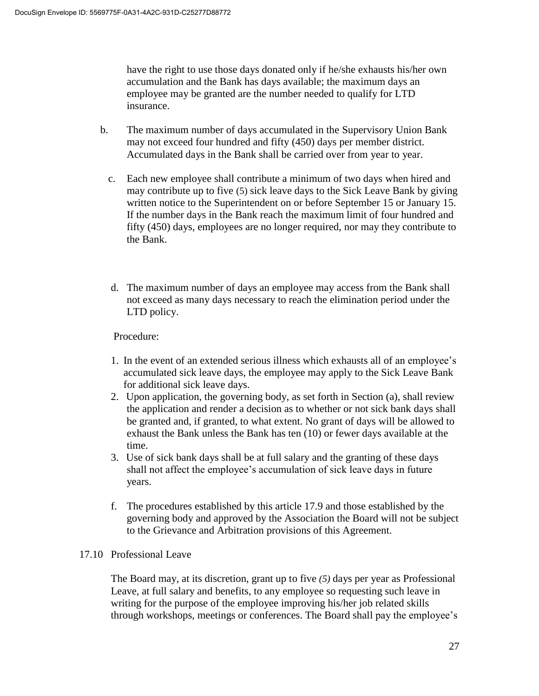have the right to use those days donated only if he/she exhausts his/her own accumulation and the Bank has days available; the maximum days an employee may be granted are the number needed to qualify for LTD insurance.

- b. The maximum number of days accumulated in the Supervisory Union Bank may not exceed four hundred and fifty (450) days per member district. Accumulated days in the Bank shall be carried over from year to year.
	- c. Each new employee shall contribute a minimum of two days when hired and may contribute up to five (5) sick leave days to the Sick Leave Bank by giving written notice to the Superintendent on or before September 15 or January 15. If the number days in the Bank reach the maximum limit of four hundred and fifty (450) days, employees are no longer required, nor may they contribute to the Bank.
	- d. The maximum number of days an employee may access from the Bank shall not exceed as many days necessary to reach the elimination period under the LTD policy.

Procedure:

- 1. In the event of an extended serious illness which exhausts all of an employee's accumulated sick leave days, the employee may apply to the Sick Leave Bank for additional sick leave days.
- 2. Upon application, the governing body, as set forth in Section (a), shall review the application and render a decision as to whether or not sick bank days shall be granted and, if granted, to what extent. No grant of days will be allowed to exhaust the Bank unless the Bank has ten (10) or fewer days available at the time.
- 3. Use of sick bank days shall be at full salary and the granting of these days shall not affect the employee's accumulation of sick leave days in future years.
- f. The procedures established by this article 17.9 and those established by the governing body and approved by the Association the Board will not be subject to the Grievance and Arbitration provisions of this Agreement.

# 17.10 Professional Leave

 The Board may, at its discretion, grant up to five *(5)* days per year as Professional Leave, at full salary and benefits, to any employee so requesting such leave in writing for the purpose of the employee improving his/her job related skills through workshops, meetings or conferences. The Board shall pay the employee's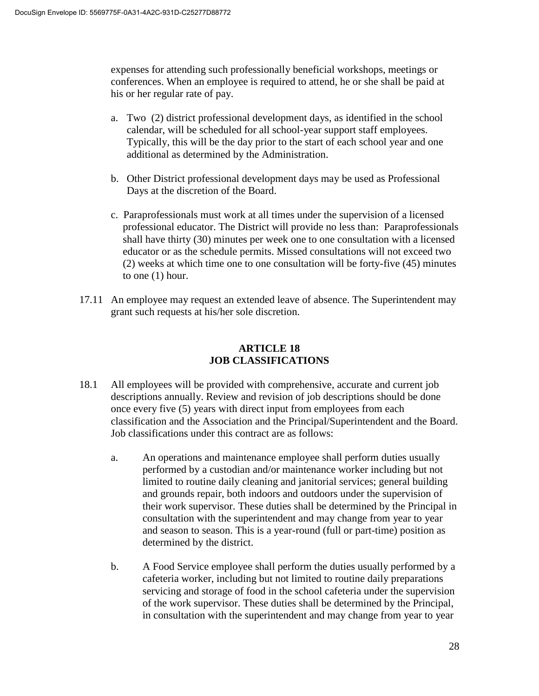expenses for attending such professionally beneficial workshops, meetings or conferences. When an employee is required to attend, he or she shall be paid at his or her regular rate of pay.

- a. Two (2) district professional development days, as identified in the school calendar, will be scheduled for all school-year support staff employees. Typically, this will be the day prior to the start of each school year and one additional as determined by the Administration.
- b. Other District professional development days may be used as Professional Days at the discretion of the Board.
- c. Paraprofessionals must work at all times under the supervision of a licensed professional educator. The District will provide no less than: Paraprofessionals shall have thirty (30) minutes per week one to one consultation with a licensed educator or as the schedule permits. Missed consultations will not exceed two (2) weeks at which time one to one consultation will be forty-five (45) minutes to one (1) hour.
- 17.11 An employee may request an extended leave of absence. The Superintendent may grant such requests at his/her sole discretion.

# **ARTICLE 18 JOB CLASSIFICATIONS**

- 18.1 All employees will be provided with comprehensive, accurate and current job descriptions annually. Review and revision of job descriptions should be done once every five (5) years with direct input from employees from each classification and the Association and the Principal/Superintendent and the Board. Job classifications under this contract are as follows:
	- a. An operations and maintenance employee shall perform duties usually performed by a custodian and/or maintenance worker including but not limited to routine daily cleaning and janitorial services; general building and grounds repair, both indoors and outdoors under the supervision of their work supervisor. These duties shall be determined by the Principal in consultation with the superintendent and may change from year to year and season to season. This is a year-round (full or part-time) position as determined by the district.
	- b. A Food Service employee shall perform the duties usually performed by a cafeteria worker, including but not limited to routine daily preparations servicing and storage of food in the school cafeteria under the supervision of the work supervisor. These duties shall be determined by the Principal, in consultation with the superintendent and may change from year to year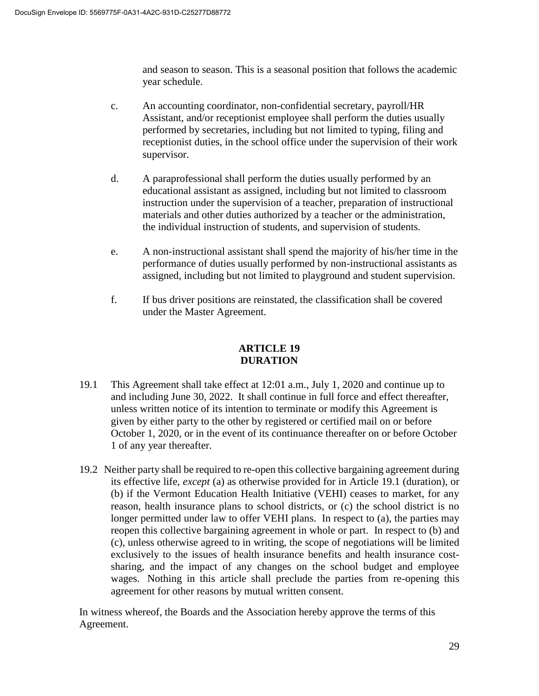and season to season. This is a seasonal position that follows the academic year schedule.

- c. An accounting coordinator, non-confidential secretary, payroll/HR Assistant, and/or receptionist employee shall perform the duties usually performed by secretaries, including but not limited to typing, filing and receptionist duties, in the school office under the supervision of their work supervisor.
- d. A paraprofessional shall perform the duties usually performed by an educational assistant as assigned, including but not limited to classroom instruction under the supervision of a teacher, preparation of instructional materials and other duties authorized by a teacher or the administration, the individual instruction of students, and supervision of students.
- e. A non-instructional assistant shall spend the majority of his/her time in the performance of duties usually performed by non-instructional assistants as assigned, including but not limited to playground and student supervision.
- f. If bus driver positions are reinstated, the classification shall be covered under the Master Agreement.

# **ARTICLE 19 DURATION**

- 19.1 This Agreement shall take effect at 12:01 a.m., July 1, 2020 and continue up to and including June 30, 2022. It shall continue in full force and effect thereafter, unless written notice of its intention to terminate or modify this Agreement is given by either party to the other by registered or certified mail on or before October 1, 2020, or in the event of its continuance thereafter on or before October 1 of any year thereafter.
- 19.2 Neither party shall be required to re-open this collective bargaining agreement during its effective life, *except* (a) as otherwise provided for in Article 19.1 (duration), or (b) if the Vermont Education Health Initiative (VEHI) ceases to market, for any reason, health insurance plans to school districts, or (c) the school district is no longer permitted under law to offer VEHI plans. In respect to (a), the parties may reopen this collective bargaining agreement in whole or part. In respect to (b) and (c), unless otherwise agreed to in writing, the scope of negotiations will be limited exclusively to the issues of health insurance benefits and health insurance costsharing, and the impact of any changes on the school budget and employee wages. Nothing in this article shall preclude the parties from re-opening this agreement for other reasons by mutual written consent.

In witness whereof, the Boards and the Association hereby approve the terms of this Agreement.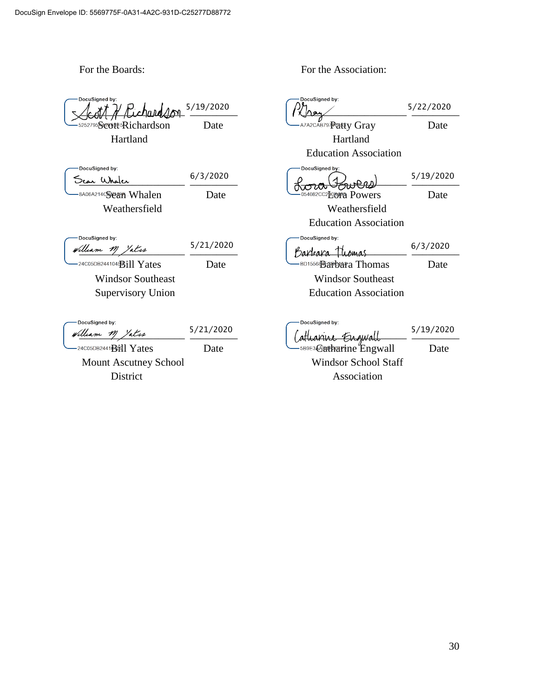| For the Boards:                                        |           | For the Association:               |           |
|--------------------------------------------------------|-----------|------------------------------------|-----------|
| DocuSigned by:<br>ichard/on                            | 5/19/2020 | DocuSigned by:                     | 5/22/2020 |
| 5252795 Serget Richardson                              | Date      | A7A2CAB79PANY Gray                 | Date      |
| Hartland                                               |           | Hartland                           |           |
|                                                        |           | <b>Education Association</b>       |           |
| DocuSigned by:<br>Sean Whalen                          | 6/3/2020  | DocuSigned by:                     | 5/19/2020 |
| 8A06A214Q&Bfh Whalen                                   | Date      | -054082CC2DOBfP& Powers            | Date      |
| Weathersfield                                          |           | Weathersfield                      |           |
|                                                        |           | <b>Education Association</b>       |           |
| DocuSigned by:<br>William M Yatis                      | 5/21/2020 | DocuSigned by:<br>Barbara Thomas   | 6/3/2020  |
| $24 \text{CO5DB}$ 244104 $\mathbb{B}111$ Yates         | Date      | BD1556 <b>PF&amp;Pbara Thomas</b>  | Date      |
| <b>Windsor Southeast</b>                               |           | <b>Windsor Southeast</b>           |           |
| <b>Supervisory Union</b>                               |           | <b>Education Association</b>       |           |
| DocuSigned by:<br>William M Yates                      | 5/21/2020 | DocuSigned by:<br>athanine Engwall | 5/19/2020 |
| $-$ 24C05DB2441 $\mathbf{R}$ sid $1$ $\mathbf{Y}$ ates | Date      | 5B9E3@ entrarine Engwall           | Date      |
| <b>Mount Ascutney School</b>                           |           | <b>Windsor School Staff</b>        |           |
| District                                               |           | Association                        |           |
|                                                        |           |                                    |           |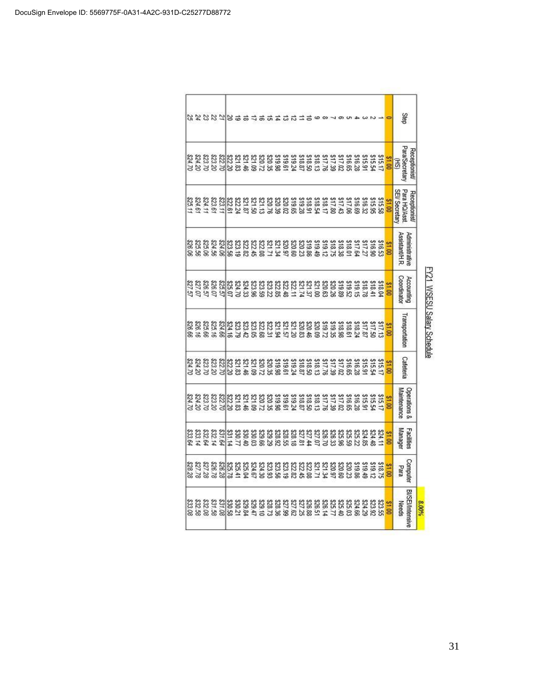| Step | Para/Secretary<br>Receptionist/<br>\$15.17<br>0018<br>$\overline{S}$ | Para HQ/Asst<br>SEI/ Secretary<br>Receptionist/<br>\$15.58<br>0018 | Assistant/H.R<br>Administrative<br>\$16.53<br>0018 | Coordinator<br>Accounting<br>\$18.41<br>\$18.04 |
|------|----------------------------------------------------------------------|--------------------------------------------------------------------|----------------------------------------------------|-------------------------------------------------|
|      |                                                                      |                                                                    |                                                    |                                                 |
|      | \$15.54<br>515.91                                                    | \$15.95<br>\$16.32                                                 | 06'91\$<br>517.27                                  |                                                 |
|      | \$16.28                                                              | 69915                                                              | \$17.64                                            |                                                 |
|      | \$16.65                                                              | 817.06                                                             | \$18.01                                            |                                                 |
|      | \$17.02                                                              | \$17.43                                                            | \$18.38                                            |                                                 |
|      | \$17.39                                                              | \$17.80                                                            | \$18.75                                            |                                                 |
|      | 817.76                                                               | 218.17                                                             | \$19.12                                            |                                                 |
| ە    | \$18.13                                                              | \$18.54                                                            | \$19.49                                            |                                                 |
| కె   | \$18.50                                                              | \$18.91                                                            | \$19.86                                            |                                                 |
|      | \$18.87                                                              | \$19.28                                                            | 22023                                              |                                                 |
| ನ    | \$19.24                                                              | \$19.65                                                            | 09023                                              |                                                 |
| ದ    | \$19.61                                                              | 20.02                                                              | 220.97                                             |                                                 |
| 궃    | 86615                                                                | 820.39                                                             | \$21.34                                            |                                                 |
| 긁    | \$20.35                                                              | 820.76                                                             | 521.71                                             |                                                 |
| ಹೆ   | 220.72                                                               | \$21.13                                                            | 822.08                                             |                                                 |
|      | 60123                                                                | 05128                                                              | \$22.45                                            |                                                 |
| ಹ    | 951.46                                                               | 221.87                                                             | \$22.82                                            |                                                 |
| ఉ    | \$21.83                                                              | \$22.24                                                            | \$23.19                                            |                                                 |
| 2    | \$22.20                                                              | \$22.61                                                            | \$23.56                                            |                                                 |
| 75   | 822.70                                                               | \$23.11                                                            | 824.06                                             |                                                 |
| Z    | 823.20                                                               | \$23.61                                                            | 824.56                                             |                                                 |
| 23   | 823.70                                                               | \$24.11                                                            | 825.06                                             |                                                 |
|      | 824.20                                                               | \$24.61                                                            | 825.56                                             |                                                 |
| 24.5 | \$24.70                                                              | \$25.11                                                            | 826.06                                             |                                                 |

និន្តទីនិងទីនាំងទីនិងទីនិងទីនិង<br>និងនិងនិងទីនិងទីនិងទីនិងទីនិង

ន្ត្រី<br>ដូច្នេះ ដូច្នេះ ដូច្នេះ ដូច្នេះ ដូច្នេះ ដូច្នេះ ដូច្នេះ ដូច្នេះ ដូច្នេះ<br>ដូច្នេះ ដូច្នេះ ដូច្នេះ ដូច្នេះ ដូច្នេះ ដូច្នេះ ដូច្នេះ ដូច្នេះ ដូច្នេះ ដូច្នេះ

ន្ត្រី<br>និងនិន្ននិងមន្ត្រីដូចនិងទំនងទំនងទំនងទំនង<br>និងនិន្ននិងទំនងទំនងទំនងទំនងទំនងទំនងទំនង

នា<br>និងនិងតាំងនិងនិងនិងនិងមាននិងនិងនិងនិងនិង<br>និងនិងទី ទី ក្នុង ក្នុងនិងនិងនិងនិងនិងនិង

FY21 WSESU Salary Schedule

Cafeteria

Maintenance Operations &

**Manager** Facilities

Computer

**BI/SEI/Intensive** 

8.00%

Para 0018

**Needs** 0018

 $0013$ 

0018

001\$

**\$16.65**<br>\$17.02

\$333<br>\$333<br>\$333<br>\$23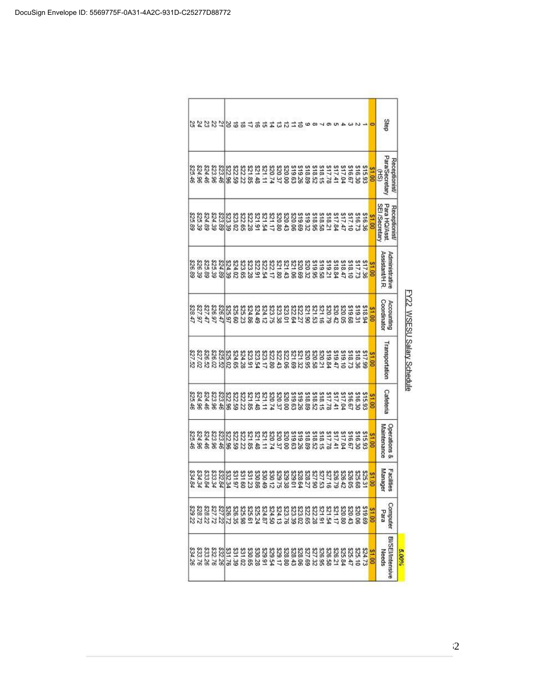|                 |                                                   |                                                                                      |                                  |                                   |                                      |                                |                                    |                              |                                                                                                                                                 | 5.00%                                   |
|-----------------|---------------------------------------------------|--------------------------------------------------------------------------------------|----------------------------------|-----------------------------------|--------------------------------------|--------------------------------|------------------------------------|------------------------------|-------------------------------------------------------------------------------------------------------------------------------------------------|-----------------------------------------|
| Step            | Para/Secretary<br>Receptionist/<br>$\overline{3}$ | Para HQ/Asst.<br><b>SEI /Secretary</b><br><b>Receptionist/</b>                       | Assistant/H.R.<br>Administrative | Coordinator<br>Accounting         | Transportation                       | Cafeteria                      | Maintenance<br>Operations &        | <b>Manager</b><br>Facilities | Computer<br>Para                                                                                                                                | <b>BI/SEI/Intensive</b><br><b>Needs</b> |
|                 | 0018                                              | 0018                                                                                 | 0018                             | 0018                              | 0018                                 | 0018                           | 0018                               | 0018                         | 0018                                                                                                                                            | 0018                                    |
|                 |                                                   |                                                                                      |                                  |                                   | 817.99                               | \$15.93                        | <b>S15.93</b>                      | \$25.31                      |                                                                                                                                                 |                                         |
|                 |                                                   | 5315<br>2115<br>2115<br>225                                                          |                                  |                                   |                                      |                                |                                    | \$25.68                      | ន្ទ្រីន្ទ្រីន្ទ្រីន្ទ្រីន្ទ្រីន្ទ្រីន្ទ្រីន្ទ្រីន្ទ្រីន្ទ្រីន្ទ្រីន្ទ្រី<br>តំណាង ដែលពីពីពីពីពីពីពីពីពីពីពីពីពីពីពីពីពីពី<br>ន្ទ្រីន្ទ្រីន្ទ្រី | <b>22</b><br>22<br>22<br>22<br>22       |
|                 |                                                   |                                                                                      |                                  |                                   | 535<br>518547<br>519547              | 516.95<br>51777.78<br>51777.78 | 31858<br>211712<br>311712<br>31872 | \$26.05                      |                                                                                                                                                 |                                         |
|                 |                                                   |                                                                                      |                                  |                                   |                                      |                                |                                    | 256.42                       |                                                                                                                                                 |                                         |
|                 |                                                   |                                                                                      |                                  |                                   |                                      |                                |                                    | 876.79                       |                                                                                                                                                 |                                         |
|                 |                                                   | \$18.21                                                                              |                                  |                                   |                                      |                                |                                    | 87.16                        |                                                                                                                                                 | S26.21<br>S26.58                        |
|                 |                                                   | \$18.58                                                                              |                                  |                                   | 12023                                |                                |                                    | \$27.53                      |                                                                                                                                                 | SS <sub>0.95</sub>                      |
|                 |                                                   |                                                                                      |                                  |                                   | 820.58                               | \$18.52                        | \$18.52<br>\$18.89                 | 06' 22\$                     |                                                                                                                                                 | 27.32                                   |
|                 |                                                   | ន្លន្ត និង មាន មាន មាន មាន មាន<br>និង មាន មាន មាន មាន មាន មាន<br>និង មាន មាន មាន មាន |                                  | ឌុក្ខដែលនិងជិតនិង<br>និងមានជិតនិង | \$20.95                              |                                |                                    | 228.27                       |                                                                                                                                                 | 69'72\$                                 |
|                 |                                                   |                                                                                      |                                  |                                   | 821.32                               |                                |                                    | \$28.64                      |                                                                                                                                                 |                                         |
|                 |                                                   |                                                                                      |                                  |                                   |                                      |                                |                                    | 10'62\$                      |                                                                                                                                                 |                                         |
|                 |                                                   |                                                                                      |                                  |                                   | \$22.06                              |                                |                                    | \$29.38                      |                                                                                                                                                 |                                         |
|                 |                                                   |                                                                                      |                                  |                                   | \$22.80<br>\$22.80                   |                                | 338883<br>28888<br>2773            | 529.75                       |                                                                                                                                                 |                                         |
|                 |                                                   |                                                                                      |                                  |                                   |                                      |                                |                                    | 230.12                       |                                                                                                                                                 |                                         |
|                 |                                                   |                                                                                      |                                  |                                   |                                      | 1112\$                         |                                    | 830.49                       |                                                                                                                                                 |                                         |
|                 |                                                   |                                                                                      |                                  |                                   |                                      | 821.48                         |                                    | 30.86                        |                                                                                                                                                 |                                         |
|                 |                                                   |                                                                                      |                                  |                                   |                                      | \$21.85                        | \$21.48<br>\$21.85                 |                              |                                                                                                                                                 |                                         |
|                 |                                                   |                                                                                      |                                  |                                   | ន្ទន្ទន្ទន្ទ្ទ<br>ដូច្នេន្ទ<br>ន្ទ្រ |                                | \$22.22                            | \$31.23<br>\$31.60           |                                                                                                                                                 |                                         |
|                 |                                                   |                                                                                      |                                  |                                   |                                      | 822.59                         | 822.59                             | 531.97                       |                                                                                                                                                 |                                         |
| $\frac{25}{20}$ |                                                   |                                                                                      |                                  | 25.97                             | 225.02                               | 822.96                         | 822.96                             | S32.34<br>S32.84             |                                                                                                                                                 |                                         |
|                 |                                                   | 823.89                                                                               |                                  | \$26.47                           | \$25.52                              | 823.46                         | 823.46                             |                              |                                                                                                                                                 |                                         |
|                 |                                                   | 824.39                                                                               | 825.39                           |                                   | \$26.02                              | 823.96                         | 223.96                             | \$33.34                      |                                                                                                                                                 |                                         |
| 22322           |                                                   | 68763                                                                                | 825.89                           | 28.97<br>827.97<br>82.97          | 26.52                                | 324.46                         | 974.46                             | \$33.84                      |                                                                                                                                                 |                                         |
|                 |                                                   | \$25.39<br>\$25.89                                                                   | 826.39<br>826.89                 |                                   |                                      | 36 773                         | 824.96                             | \$34.34                      |                                                                                                                                                 |                                         |
|                 |                                                   |                                                                                      |                                  |                                   | 827.52                               | \$25.46                        |                                    | \$34.84                      |                                                                                                                                                 | 834.26                                  |

| NSU<br>ŕ<br>Ĩ<br>ċ<br>ņ<br>al<br>P<br><b>Castle 1</b> |
|-------------------------------------------------------|
|                                                       |
|                                                       |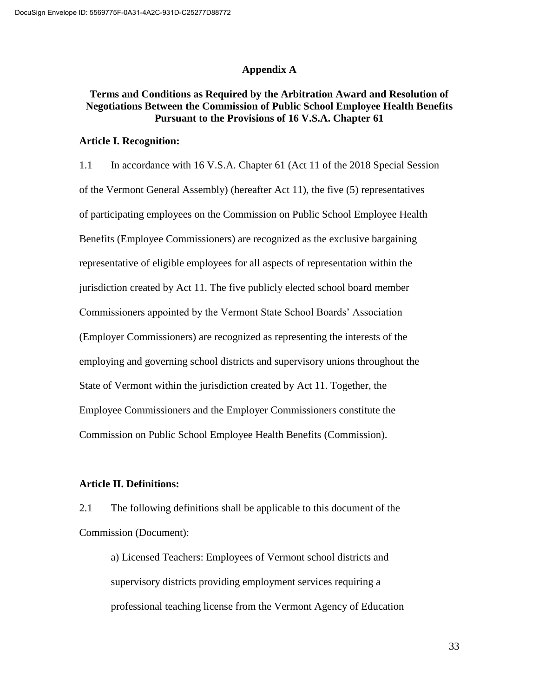### **Appendix A**

### **Terms and Conditions as Required by the Arbitration Award and Resolution of Negotiations Between the Commission of Public School Employee Health Benefits Pursuant to the Provisions of 16 V.S.A. Chapter 61**

### **Article I. Recognition:**

1.1 In accordance with 16 V.S.A. Chapter 61 (Act 11 of the 2018 Special Session of the Vermont General Assembly) (hereafter Act 11), the five (5) representatives of participating employees on the Commission on Public School Employee Health Benefits (Employee Commissioners) are recognized as the exclusive bargaining representative of eligible employees for all aspects of representation within the jurisdiction created by Act 11. The five publicly elected school board member Commissioners appointed by the Vermont State School Boards' Association (Employer Commissioners) are recognized as representing the interests of the employing and governing school districts and supervisory unions throughout the State of Vermont within the jurisdiction created by Act 11. Together, the Employee Commissioners and the Employer Commissioners constitute the Commission on Public School Employee Health Benefits (Commission).

### **Article II. Definitions:**

2.1 The following definitions shall be applicable to this document of the Commission (Document):

a) Licensed Teachers: Employees of Vermont school districts and supervisory districts providing employment services requiring a professional teaching license from the Vermont Agency of Education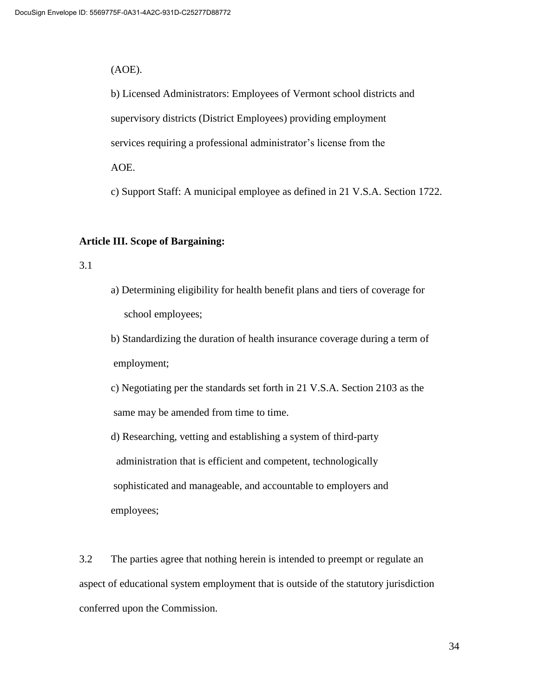### (AOE).

b) Licensed Administrators: Employees of Vermont school districts and supervisory districts (District Employees) providing employment services requiring a professional administrator's license from the AOE.

c) Support Staff: A municipal employee as defined in 21 V.S.A. Section 1722.

### **Article III. Scope of Bargaining:**

3.1

a) Determining eligibility for health benefit plans and tiers of coverage for school employees;

b) Standardizing the duration of health insurance coverage during a term of employment;

c) Negotiating per the standards set forth in 21 V.S.A. Section 2103 as the same may be amended from time to time.

d) Researching, vetting and establishing a system of third-party administration that is efficient and competent, technologically sophisticated and manageable, and accountable to employers and employees;

3.2 The parties agree that nothing herein is intended to preempt or regulate an aspect of educational system employment that is outside of the statutory jurisdiction conferred upon the Commission.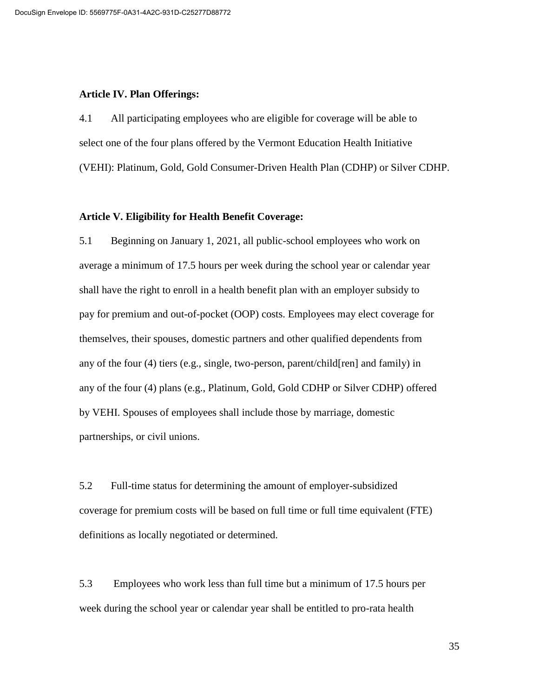### **Article IV. Plan Offerings:**

4.1 All participating employees who are eligible for coverage will be able to select one of the four plans offered by the Vermont Education Health Initiative (VEHI): Platinum, Gold, Gold Consumer-Driven Health Plan (CDHP) or Silver CDHP.

### **Article V. Eligibility for Health Benefit Coverage:**

5.1 Beginning on January 1, 2021, all public-school employees who work on average a minimum of 17.5 hours per week during the school year or calendar year shall have the right to enroll in a health benefit plan with an employer subsidy to pay for premium and out-of-pocket (OOP) costs. Employees may elect coverage for themselves, their spouses, domestic partners and other qualified dependents from any of the four (4) tiers (e.g., single, two-person, parent/child[ren] and family) in any of the four (4) plans (e.g., Platinum, Gold, Gold CDHP or Silver CDHP) offered by VEHI. Spouses of employees shall include those by marriage, domestic partnerships, or civil unions.

5.2 Full-time status for determining the amount of employer-subsidized coverage for premium costs will be based on full time or full time equivalent (FTE) definitions as locally negotiated or determined.

5.3 Employees who work less than full time but a minimum of 17.5 hours per week during the school year or calendar year shall be entitled to pro-rata health

35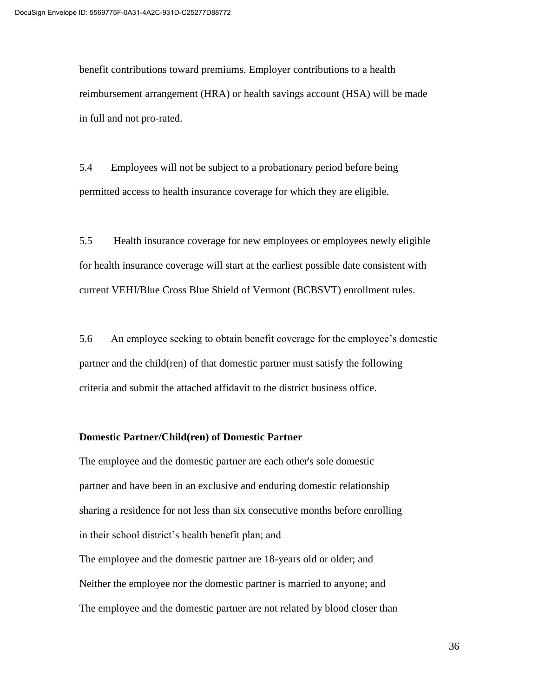benefit contributions toward premiums. Employer contributions to a health reimbursement arrangement (HRA) or health savings account (HSA) will be made in full and not pro-rated.

5.4 Employees will not be subject to a probationary period before being permitted access to health insurance coverage for which they are eligible.

5.5 Health insurance coverage for new employees or employees newly eligible for health insurance coverage will start at the earliest possible date consistent with current VEHI/Blue Cross Blue Shield of Vermont (BCBSVT) enrollment rules.

5.6 An employee seeking to obtain benefit coverage for the employee's domestic partner and the child(ren) of that domestic partner must satisfy the following criteria and submit the attached affidavit to the district business office.

### **Domestic Partner/Child(ren) of Domestic Partner**

The employee and the domestic partner are each other's sole domestic partner and have been in an exclusive and enduring domestic relationship sharing a residence for not less than six consecutive months before enrolling in their school district's health benefit plan; and

The employee and the domestic partner are 18-years old or older; and Neither the employee nor the domestic partner is married to anyone; and The employee and the domestic partner are not related by blood closer than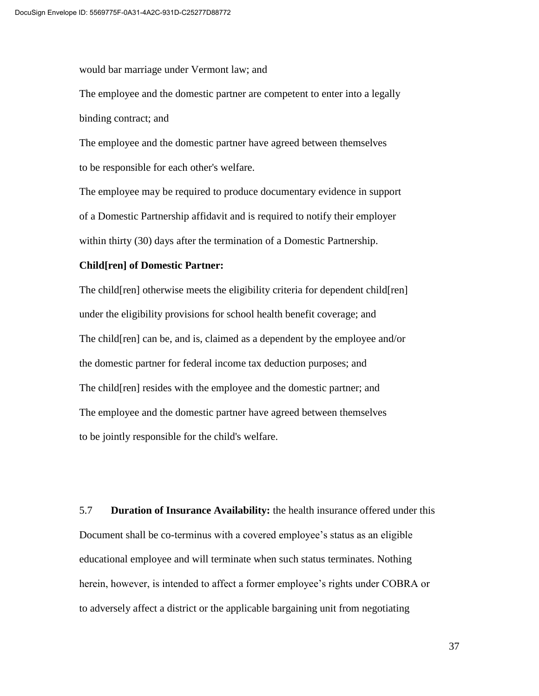would bar marriage under Vermont law; and

The employee and the domestic partner are competent to enter into a legally binding contract; and

The employee and the domestic partner have agreed between themselves to be responsible for each other's welfare.

The employee may be required to produce documentary evidence in support of a Domestic Partnership affidavit and is required to notify their employer within thirty (30) days after the termination of a Domestic Partnership.

### **Child[ren] of Domestic Partner:**

The child[ren] otherwise meets the eligibility criteria for dependent child[ren] under the eligibility provisions for school health benefit coverage; and The child[ren] can be, and is, claimed as a dependent by the employee and/or the domestic partner for federal income tax deduction purposes; and The child[ren] resides with the employee and the domestic partner; and The employee and the domestic partner have agreed between themselves to be jointly responsible for the child's welfare.

5.7 **Duration of Insurance Availability:** the health insurance offered under this Document shall be co-terminus with a covered employee's status as an eligible educational employee and will terminate when such status terminates. Nothing herein, however, is intended to affect a former employee's rights under COBRA or to adversely affect a district or the applicable bargaining unit from negotiating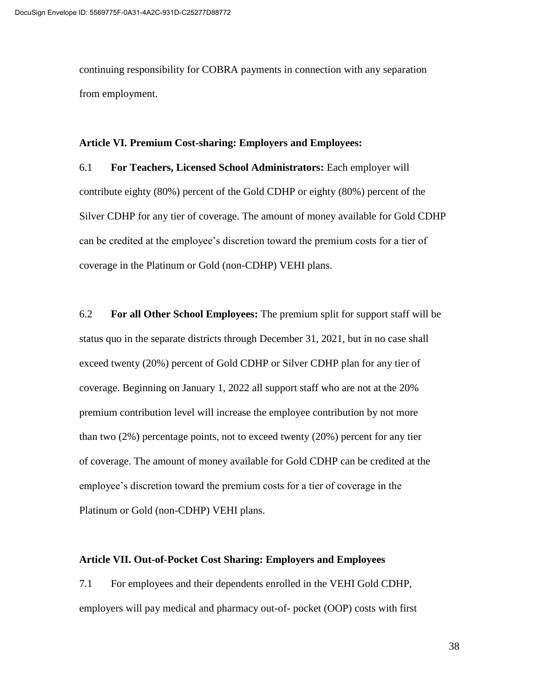continuing responsibility for COBRA payments in connection with any separation from employment.

### **Article VI. Premium Cost-sharing: Employers and Employees:**

6.1 **For Teachers, Licensed School Administrators:** Each employer will contribute eighty (80%) percent of the Gold CDHP or eighty (80%) percent of the Silver CDHP for any tier of coverage. The amount of money available for Gold CDHP can be credited at the employee's discretion toward the premium costs for a tier of coverage in the Platinum or Gold (non-CDHP) VEHI plans.

6.2 **For all Other School Employees:** The premium split for support staff will be status quo in the separate districts through December 31, 2021, but in no case shall exceed twenty (20%) percent of Gold CDHP or Silver CDHP plan for any tier of coverage. Beginning on January 1, 2022 all support staff who are not at the 20% premium contribution level will increase the employee contribution by not more than two (2%) percentage points, not to exceed twenty (20%) percent for any tier of coverage. The amount of money available for Gold CDHP can be credited at the employee's discretion toward the premium costs for a tier of coverage in the Platinum or Gold (non-CDHP) VEHI plans.

### **Article VII. Out-of-Pocket Cost Sharing: Employers and Employees**

7.1 For employees and their dependents enrolled in the VEHI Gold CDHP, employers will pay medical and pharmacy out-of- pocket (OOP) costs with first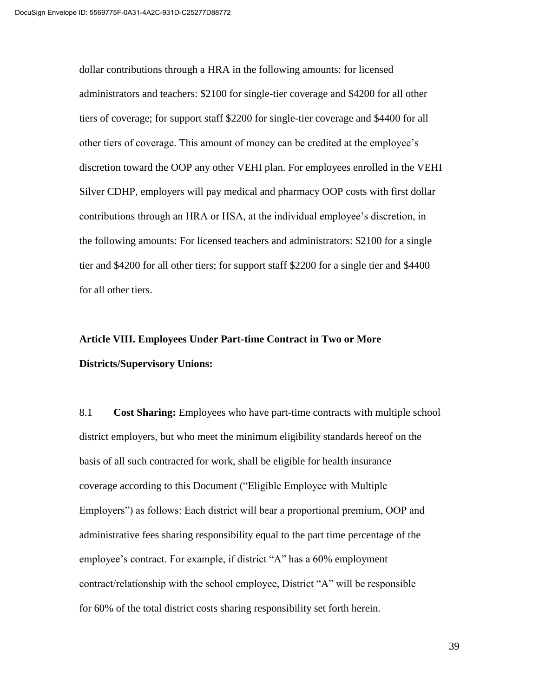dollar contributions through a HRA in the following amounts: for licensed administrators and teachers: \$2100 for single-tier coverage and \$4200 for all other tiers of coverage; for support staff \$2200 for single-tier coverage and \$4400 for all other tiers of coverage. This amount of money can be credited at the employee's discretion toward the OOP any other VEHI plan. For employees enrolled in the VEHI Silver CDHP, employers will pay medical and pharmacy OOP costs with first dollar contributions through an HRA or HSA, at the individual employee's discretion, in the following amounts: For licensed teachers and administrators: \$2100 for a single tier and \$4200 for all other tiers; for support staff \$2200 for a single tier and \$4400 for all other tiers.

# **Article VIII. Employees Under Part-time Contract in Two or More Districts/Supervisory Unions:**

8.1 **Cost Sharing:** Employees who have part-time contracts with multiple school district employers, but who meet the minimum eligibility standards hereof on the basis of all such contracted for work, shall be eligible for health insurance coverage according to this Document ("Eligible Employee with Multiple Employers") as follows: Each district will bear a proportional premium, OOP and administrative fees sharing responsibility equal to the part time percentage of the employee's contract. For example, if district "A" has a 60% employment contract/relationship with the school employee, District "A" will be responsible for 60% of the total district costs sharing responsibility set forth herein.

39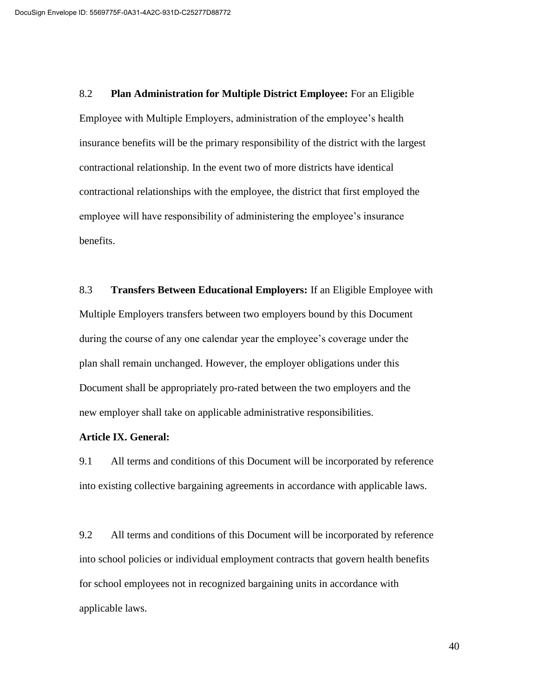8.2 **Plan Administration for Multiple District Employee:** For an Eligible Employee with Multiple Employers, administration of the employee's health insurance benefits will be the primary responsibility of the district with the largest contractional relationship. In the event two of more districts have identical contractional relationships with the employee, the district that first employed the employee will have responsibility of administering the employee's insurance benefits.

8.3 **Transfers Between Educational Employers:** If an Eligible Employee with Multiple Employers transfers between two employers bound by this Document during the course of any one calendar year the employee's coverage under the plan shall remain unchanged. However, the employer obligations under this Document shall be appropriately pro-rated between the two employers and the new employer shall take on applicable administrative responsibilities.

### **Article IX. General:**

9.1 All terms and conditions of this Document will be incorporated by reference into existing collective bargaining agreements in accordance with applicable laws.

9.2 All terms and conditions of this Document will be incorporated by reference into school policies or individual employment contracts that govern health benefits for school employees not in recognized bargaining units in accordance with applicable laws.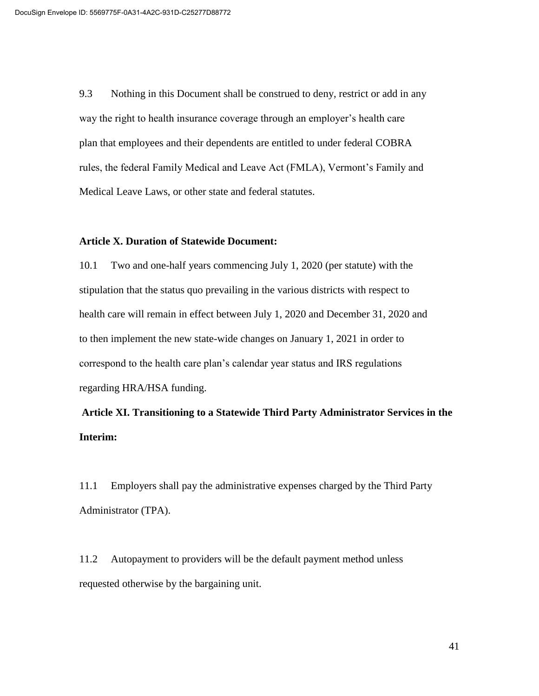9.3 Nothing in this Document shall be construed to deny, restrict or add in any way the right to health insurance coverage through an employer's health care plan that employees and their dependents are entitled to under federal COBRA rules, the federal Family Medical and Leave Act (FMLA), Vermont's Family and Medical Leave Laws, or other state and federal statutes.

### **Article X. Duration of Statewide Document:**

10.1 Two and one-half years commencing July 1, 2020 (per statute) with the stipulation that the status quo prevailing in the various districts with respect to health care will remain in effect between July 1, 2020 and December 31, 2020 and to then implement the new state-wide changes on January 1, 2021 in order to correspond to the health care plan's calendar year status and IRS regulations regarding HRA/HSA funding.

**Article XI. Transitioning to a Statewide Third Party Administrator Services in the Interim:**

11.1 Employers shall pay the administrative expenses charged by the Third Party Administrator (TPA).

11.2 Autopayment to providers will be the default payment method unless requested otherwise by the bargaining unit.